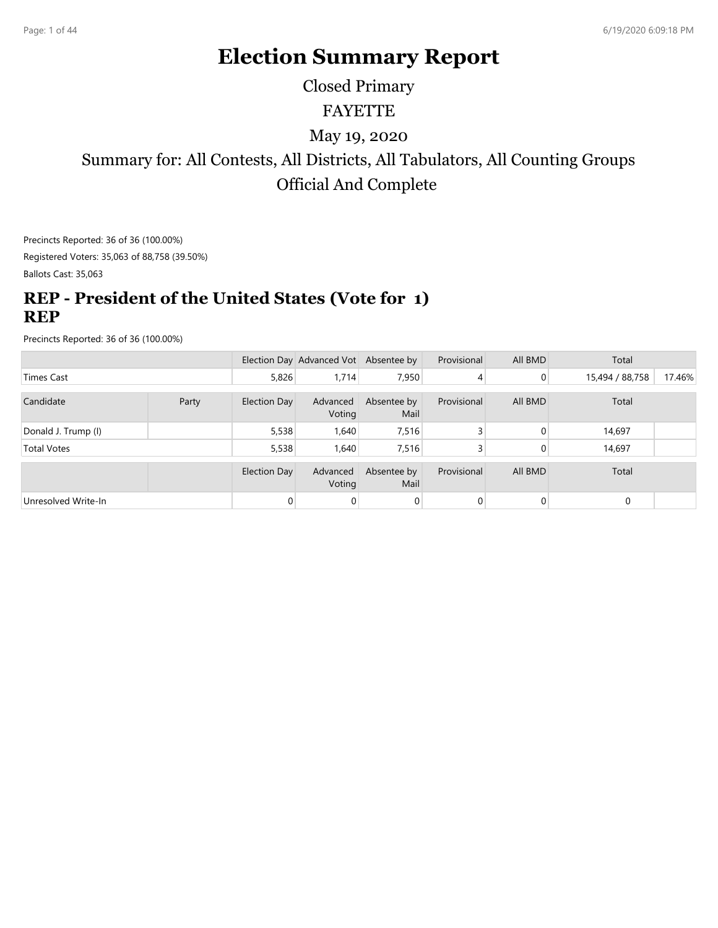# **Election Summary Report**

# FAYETTE Closed Primary

### May 19, 2020

Summary for: All Contests, All Districts, All Tabulators, All Counting Groups Official And Complete

Precincts Reported: 36 of 36 (100.00%) Registered Voters: 35,063 of 88,758 (39.50%)

Ballots Cast: 35,063

### **REP - President of the United States (Vote for 1) REP**

|                     |       |              | Election Day Advanced Vot Absentee by |                     | Provisional | All BMD        | Total           |        |
|---------------------|-------|--------------|---------------------------------------|---------------------|-------------|----------------|-----------------|--------|
| Times Cast          |       | 5,826        | 1.714                                 | 7,950               | 4           | $\overline{0}$ | 15,494 / 88,758 | 17.46% |
|                     |       |              |                                       |                     |             |                |                 |        |
| Candidate           | Party | Election Day | Advanced<br>Voting                    | Absentee by<br>Mail | Provisional | All BMD        | Total           |        |
| Donald J. Trump (I) |       | 5,538        | 1,640                                 | 7,516               |             | 0              | 14,697          |        |
| <b>Total Votes</b>  |       | 5,538        | 1,640                                 | 7,516               |             | 0              | 14,697          |        |
|                     |       |              |                                       |                     |             |                |                 |        |
|                     |       | Election Day | Advanced<br>Voting                    | Absentee by<br>Mail | Provisional | All BMD        | Total           |        |
| Unresolved Write-In |       |              |                                       |                     | 0           | 0              | $\mathbf 0$     |        |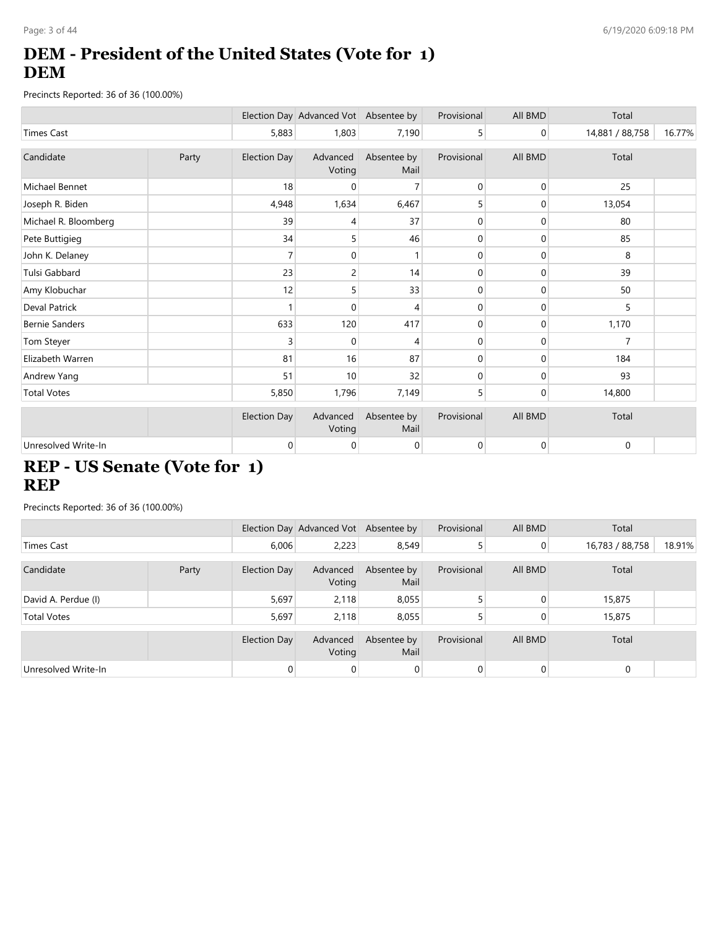# **DEM - President of the United States (Vote for 1) DEM**

Precincts Reported: 36 of 36 (100.00%)

|                       |       |                     | Election Day Advanced Vot Absentee by |                     | Provisional  | All BMD     | Total           |        |
|-----------------------|-------|---------------------|---------------------------------------|---------------------|--------------|-------------|-----------------|--------|
| <b>Times Cast</b>     |       | 5,883               | 1,803                                 | 7,190               | 5            | 0           | 14,881 / 88,758 | 16.77% |
| Candidate             | Party | Election Day        | Advanced<br>Voting                    | Absentee by<br>Mail | Provisional  | All BMD     | Total           |        |
| Michael Bennet        |       | 18                  | $\Omega$                              | 7                   | $\mathbf 0$  | 0           | 25              |        |
| Joseph R. Biden       |       | 4,948               | 1,634                                 | 6,467               | 5            | 0           | 13,054          |        |
| Michael R. Bloomberg  |       | 39                  | 4                                     | 37                  | 0            | $\mathbf 0$ | 80              |        |
| Pete Buttigieg        |       | 34                  | 5                                     | 46                  | 0            | 0           | 85              |        |
| John K. Delaney       |       | 7                   | 0                                     |                     | 0            | 0           | 8               |        |
| Tulsi Gabbard         |       | 23                  | 2                                     | 14                  | 0            | 0           | 39              |        |
| Amy Klobuchar         |       | 12                  | 5                                     | 33                  | 0            | 0           | 50              |        |
| Deval Patrick         |       |                     | $\Omega$                              | 4                   | $\mathbf{0}$ | 0           | 5               |        |
| <b>Bernie Sanders</b> |       | 633                 | 120                                   | 417                 | 0            | 0           | 1,170           |        |
| Tom Steyer            |       | 3                   | 0                                     | 4                   | 0            | 0           | 7               |        |
| Elizabeth Warren      |       | 81                  | 16                                    | 87                  | 0            | 0           | 184             |        |
| Andrew Yang           |       | 51                  | 10                                    | 32                  | 0            | 0           | 93              |        |
| <b>Total Votes</b>    |       | 5,850               | 1,796                                 | 7,149               | 5            | 0           | 14,800          |        |
|                       |       | <b>Election Day</b> | Advanced<br>Voting                    | Absentee by<br>Mail | Provisional  | All BMD     | Total           |        |
| Unresolved Write-In   |       | $\mathbf 0$         | 0                                     | 0                   | $\mathbf{0}$ | $\mathbf 0$ | 0               |        |

# **REP - US Senate (Vote for 1) REP**

|                     |       |              | Election Day Advanced Vot Absentee by |                     | Provisional | All BMD | Total           |        |
|---------------------|-------|--------------|---------------------------------------|---------------------|-------------|---------|-----------------|--------|
| <b>Times Cast</b>   |       | 6,006        | 2,223                                 | 8,549               |             | 0       | 16,783 / 88,758 | 18.91% |
| Candidate           | Party | Election Day | Advanced<br>Voting                    | Absentee by<br>Mail | Provisional | All BMD | Total           |        |
| David A. Perdue (I) |       | 5,697        | 2,118                                 | 8,055               |             | 0       | 15,875          |        |
| <b>Total Votes</b>  |       | 5,697        | 2,118                                 | 8,055               |             |         | 15,875          |        |
|                     |       | Election Day | Advanced<br>Voting                    | Absentee by<br>Mail | Provisional | All BMD | Total           |        |
| Unresolved Write-In |       | $\Omega$     | 0                                     | $\overline{0}$      |             | 0       | 0               |        |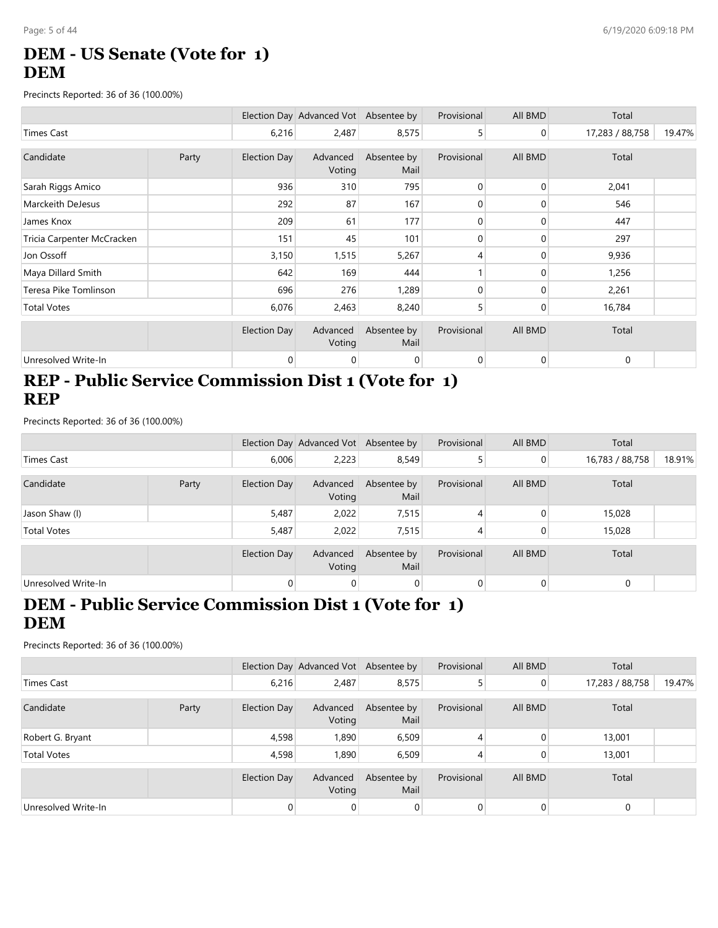# **DEM - US Senate (Vote for 1) DEM**

Precincts Reported: 36 of 36 (100.00%)

|                            |       |              | Election Day Advanced Vot Absentee by |                     | Provisional | All BMD        | Total           |        |
|----------------------------|-------|--------------|---------------------------------------|---------------------|-------------|----------------|-----------------|--------|
| <b>Times Cast</b>          |       | 6,216        | 2,487                                 | 8,575               | 5           | $\overline{0}$ | 17,283 / 88,758 | 19.47% |
| Candidate                  | Party | Election Day | Advanced<br>Voting                    | Absentee by<br>Mail | Provisional | All BMD        | Total           |        |
| Sarah Riggs Amico          |       | 936          | 310                                   | 795                 | 0           | 0              | 2,041           |        |
| Marckeith DeJesus          |       | 292          | 87                                    | 167                 | 0           | 0              | 546             |        |
| James Knox                 |       | 209          | 61                                    | 177                 | $\Omega$    | $\mathbf{0}$   | 447             |        |
| Tricia Carpenter McCracken |       | 151          | 45                                    | 101                 | $\Omega$    | $\Omega$       | 297             |        |
| Jon Ossoff                 |       | 3,150        | 1,515                                 | 5,267               | 4           | $\mathbf{0}$   | 9,936           |        |
| Maya Dillard Smith         |       | 642          | 169                                   | 444                 |             | $\Omega$       | 1,256           |        |
| Teresa Pike Tomlinson      |       | 696          | 276                                   | 1,289               | 0           | $\Omega$       | 2,261           |        |
| <b>Total Votes</b>         |       | 6,076        | 2,463                                 | 8,240               | 5           | $\mathbf{0}$   | 16,784          |        |
|                            |       | Election Day | Advanced<br>Voting                    | Absentee by<br>Mail | Provisional | All BMD        | Total           |        |
| Unresolved Write-In        |       | 0            | 0                                     | $\overline{0}$      | 0           | $\overline{0}$ | 0               |        |

#### **REP - Public Service Commission Dist 1 (Vote for 1) REP**

Precincts Reported: 36 of 36 (100.00%)

|                     |       |              | Election Day Advanced Vot Absentee by |                     | Provisional | All BMD        | Total           |        |
|---------------------|-------|--------------|---------------------------------------|---------------------|-------------|----------------|-----------------|--------|
| <b>Times Cast</b>   |       | 6,006        | 2,223                                 | 8,549               |             | $\overline{0}$ | 16,783 / 88,758 | 18.91% |
| Candidate           | Party | Election Day | Advanced<br>Voting                    | Absentee by<br>Mail | Provisional | All BMD        | Total           |        |
| Jason Shaw (I)      |       | 5,487        | 2,022                                 | 7,515               | 4           |                | 15,028          |        |
| <b>Total Votes</b>  |       | 5,487        | 2,022                                 | 7,515               | 4           |                | 15,028          |        |
|                     |       | Election Day | Advanced<br>Voting                    | Absentee by<br>Mail | Provisional | All BMD        | Total           |        |
| Unresolved Write-In |       | 0            | 0                                     | 0                   | 0           | $\Omega$       | $\Omega$        |        |

#### **DEM - Public Service Commission Dist 1 (Vote for 1) DEM**

|                     |       |              | Election Day Advanced Vot Absentee by |                     | Provisional | All BMD        | Total           |        |
|---------------------|-------|--------------|---------------------------------------|---------------------|-------------|----------------|-----------------|--------|
| Times Cast          |       | 6,216        | 2,487                                 | 8,575               |             | $\overline{0}$ | 17,283 / 88,758 | 19.47% |
| Candidate           | Party | Election Day | Advanced<br>Voting                    | Absentee by<br>Mail | Provisional | All BMD        | Total           |        |
| Robert G. Bryant    |       | 4,598        | 1,890                                 | 6,509               |             |                | 13,001          |        |
| <b>Total Votes</b>  |       | 4,598        | 1,890                                 | 6,509               |             |                | 13,001          |        |
|                     |       | Election Day | Advanced<br>Voting                    | Absentee by<br>Mail | Provisional | All BMD        | Total           |        |
| Unresolved Write-In |       |              |                                       |                     |             |                | $\mathbf 0$     |        |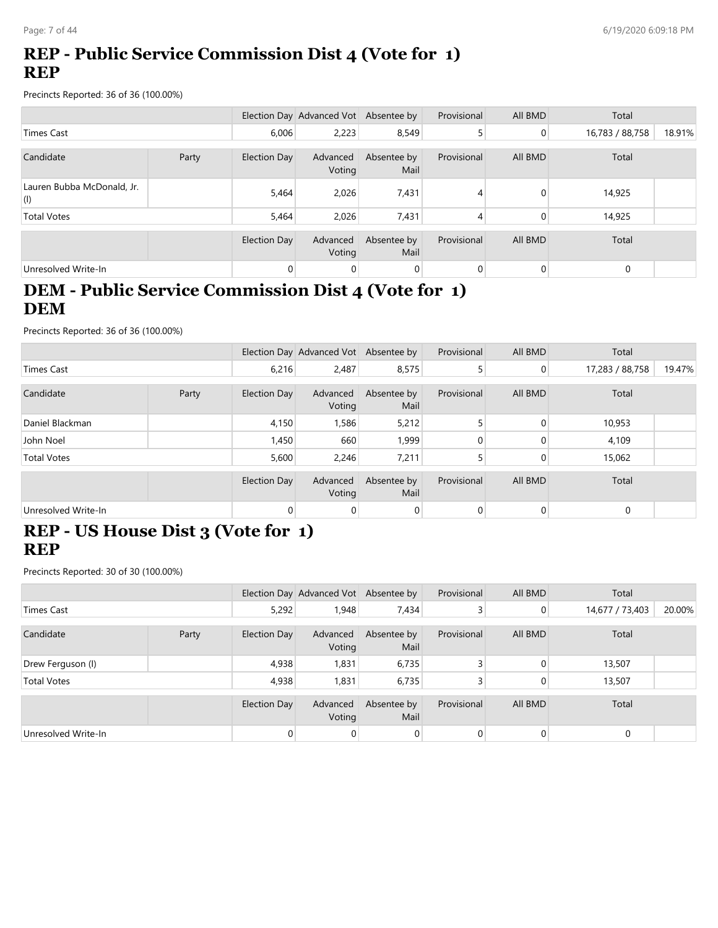# **REP - Public Service Commission Dist 4 (Vote for 1) REP**

Precincts Reported: 36 of 36 (100.00%)

|                                           |       |                     | Election Day Advanced Vot Absentee by |                     | Provisional | All BMD | Total           |        |
|-------------------------------------------|-------|---------------------|---------------------------------------|---------------------|-------------|---------|-----------------|--------|
| <b>Times Cast</b>                         |       | 6,006               | 2,223                                 | 8,549               |             | 0       | 16,783 / 88,758 | 18.91% |
|                                           |       |                     |                                       |                     |             |         |                 |        |
| Candidate                                 | Party | <b>Election Day</b> | Advanced<br>Voting                    | Absentee by<br>Mail | Provisional | All BMD | Total           |        |
| Lauren Bubba McDonald, Jr.<br>$\vert$ (l) |       | 5,464               | 2,026                                 | 7,431               | 4           |         | 14,925          |        |
| <b>Total Votes</b>                        |       | 5,464               | 2,026                                 | 7,431               | 4           | 0       | 14,925          |        |
|                                           |       | <b>Election Day</b> | Advanced<br>Voting                    | Absentee by<br>Mail | Provisional | All BMD | Total           |        |
| Unresolved Write-In                       |       | $\Omega$            | 0                                     | $\overline{0}$      | 0           | 0       | $\mathbf 0$     |        |

# **DEM - Public Service Commission Dist 4 (Vote for 1) DEM**

Precincts Reported: 36 of 36 (100.00%)

|                     |       |                     | Election Day Advanced Vot Absentee by |                     | Provisional | All BMD        | Total           |        |
|---------------------|-------|---------------------|---------------------------------------|---------------------|-------------|----------------|-----------------|--------|
| <b>Times Cast</b>   |       | 6,216               | 2,487                                 | 8,575               |             | $\overline{0}$ | 17,283 / 88,758 | 19.47% |
| Candidate           | Party | Election Day        | Advanced<br>Voting                    | Absentee by<br>Mail | Provisional | All BMD        | Total           |        |
| Daniel Blackman     |       | 4,150               | 1,586                                 | 5,212               |             | $\Omega$       | 10,953          |        |
| John Noel           |       | 1,450               | 660                                   | 1,999               | 0           | $\Omega$       | 4,109           |        |
| <b>Total Votes</b>  |       | 5,600               | 2,246                                 | 7,211               |             | $\Omega$       | 15,062          |        |
|                     |       | <b>Election Day</b> | Advanced<br>Voting                    | Absentee by<br>Mail | Provisional | All BMD        | Total           |        |
| Unresolved Write-In |       | $\Omega$            | 0                                     | $\overline{0}$      | $\Omega$    | $\Omega$       | $\mathbf 0$     |        |

### **REP - US House Dist 3 (Vote for 1) REP**

|                     |       |              | Election Day Advanced Vot Absentee by |                     | Provisional | All BMD  | Total           |        |
|---------------------|-------|--------------|---------------------------------------|---------------------|-------------|----------|-----------------|--------|
| <b>Times Cast</b>   |       | 5,292        | 1,948                                 | 7,434               |             | 0        | 14,677 / 73,403 | 20.00% |
|                     |       |              |                                       |                     |             |          |                 |        |
| Candidate           | Party | Election Day | Advanced<br>Voting                    | Absentee by<br>Mail | Provisional | All BMD  | Total           |        |
| Drew Ferguson (I)   |       | 4,938        | 1,831                                 | 6,735               |             | $\Omega$ | 13,507          |        |
| <b>Total Votes</b>  |       | 4,938        | 1,831                                 | 6,735               |             | 0        | 13,507          |        |
|                     |       |              |                                       |                     |             |          |                 |        |
|                     |       | Election Day | Advanced<br>Voting                    | Absentee by<br>Mail | Provisional | All BMD  | Total           |        |
| Unresolved Write-In |       | $\Omega$     |                                       | $\Omega$            | $\Omega$    | $\Omega$ | $\mathbf 0$     |        |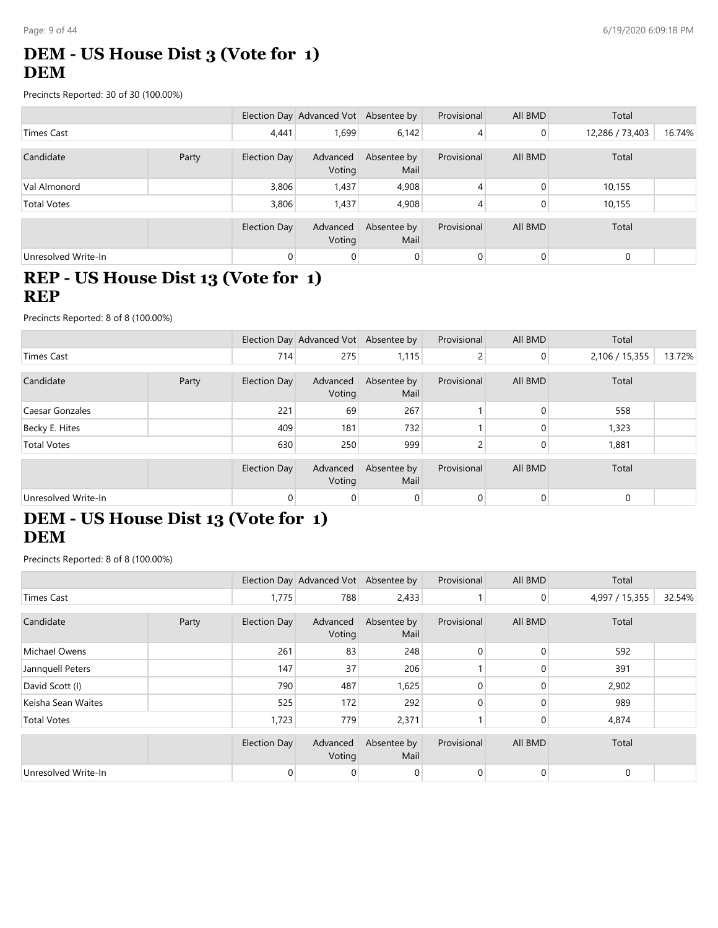### **DEM - US House Dist 3 (Vote for 1) DEM**

Precincts Reported: 30 of 30 (100.00%)

|                     |       |              | Election Day Advanced Vot Absentee by |                     | Provisional | All BMD  | Total           |        |
|---------------------|-------|--------------|---------------------------------------|---------------------|-------------|----------|-----------------|--------|
| <b>Times Cast</b>   |       | 4,441        | 1,699                                 | 6,142               | 4           | 0        | 12,286 / 73,403 | 16.74% |
| Candidate           | Party | Election Day | Advanced<br>Voting                    | Absentee by<br>Mail | Provisional | All BMD  | Total           |        |
| Val Almonord        |       | 3,806        | 1,437                                 | 4,908               | 4           | $\Omega$ | 10,155          |        |
| <b>Total Votes</b>  |       | 3,806        | 1,437                                 | 4,908               | 4           | 0        | 10,155          |        |
|                     |       | Election Day | Advanced<br>Voting                    | Absentee by<br>Mail | Provisional | All BMD  | Total           |        |
| Unresolved Write-In |       | $\Omega$     | 0                                     | $\overline{0}$      | 0           | 0        | 0               |        |

### **REP - US House Dist 13 (Vote for 1) REP**

Precincts Reported: 8 of 8 (100.00%)

|                     |       |                     | Election Day Advanced Vot Absentee by |                     | Provisional | All BMD        | Total          |        |
|---------------------|-------|---------------------|---------------------------------------|---------------------|-------------|----------------|----------------|--------|
| <b>Times Cast</b>   |       | 714                 | 275                                   | 1,115               |             | $\overline{0}$ | 2,106 / 15,355 | 13.72% |
|                     |       |                     |                                       |                     |             |                |                |        |
| Candidate           | Party | <b>Election Day</b> | Advanced<br>Voting                    | Absentee by<br>Mail | Provisional | All BMD        | Total          |        |
| Caesar Gonzales     |       | 221                 | 69                                    | 267                 |             | $\Omega$       | 558            |        |
| Becky E. Hites      |       | 409                 | 181                                   | 732                 |             | 0              | 1,323          |        |
| <b>Total Votes</b>  |       | 630                 | 250                                   | 999                 |             | $\Omega$       | 1,881          |        |
|                     |       | <b>Election Day</b> | Advanced<br>Voting                    | Absentee by<br>Mail | Provisional | All BMD        | Total          |        |
| Unresolved Write-In |       | $\overline{0}$      | 0                                     | $\overline{0}$      | $\Omega$    | 0              | $\mathbf 0$    |        |

# **DEM - US House Dist 13 (Vote for 1) DEM**

|                     |       |                     | Election Day Advanced Vot Absentee by |                     | Provisional    | All BMD        | Total          |        |
|---------------------|-------|---------------------|---------------------------------------|---------------------|----------------|----------------|----------------|--------|
| Times Cast          |       | 1,775               | 788                                   | 2,433               |                | $\overline{0}$ | 4,997 / 15,355 | 32.54% |
| Candidate           | Party | <b>Election Day</b> | Advanced<br>Voting                    | Absentee by<br>Mail | Provisional    | All BMD        | Total          |        |
| Michael Owens       |       | 261                 | 83                                    | 248                 | $\Omega$       | $\Omega$       | 592            |        |
| Jannquell Peters    |       | 147                 | 37                                    | 206                 |                | $\Omega$       | 391            |        |
| David Scott (I)     |       | 790                 | 487                                   | 1,625               | 0              | $\Omega$       | 2,902          |        |
| Keisha Sean Waites  |       | 525                 | 172                                   | 292                 | $\Omega$       | $\Omega$       | 989            |        |
| <b>Total Votes</b>  |       | 1,723               | 779                                   | 2,371               |                | 0              | 4,874          |        |
|                     |       | <b>Election Day</b> | Advanced<br>Voting                    | Absentee by<br>Mail | Provisional    | All BMD        | Total          |        |
| Unresolved Write-In |       | $\overline{0}$      | 0                                     | $\overline{0}$      | $\overline{0}$ | 0              | $\mathbf 0$    |        |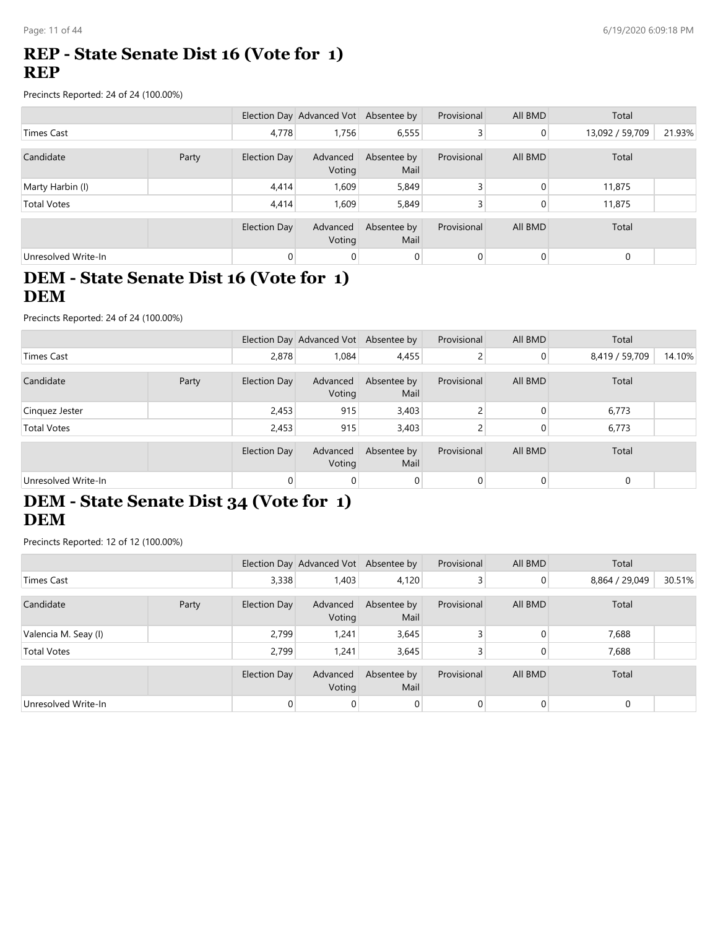#### **REP - State Senate Dist 16 (Vote for 1) REP**

Precincts Reported: 24 of 24 (100.00%)

|                     |       |                | Election Day Advanced Vot Absentee by |                     | Provisional | All BMD  | Total           |        |
|---------------------|-------|----------------|---------------------------------------|---------------------|-------------|----------|-----------------|--------|
| Times Cast          |       | 4,778          | 1,756                                 | 6,555               |             | 0        | 13,092 / 59,709 | 21.93% |
| Candidate           | Party | Election Day   | Advanced<br>Voting                    | Absentee by<br>Mail | Provisional | All BMD  | Total           |        |
| Marty Harbin (I)    |       | 4,414          | 1,609                                 | 5,849               |             | $\Omega$ | 11,875          |        |
| <b>Total Votes</b>  |       | 4,414          | 1.609                                 | 5,849               |             | 0        | 11,875          |        |
|                     |       | Election Day   | Advanced<br>Voting                    | Absentee by<br>Mail | Provisional | All BMD  | Total           |        |
| Unresolved Write-In |       | $\overline{0}$ | 0                                     | $\overline{0}$      | 0           | 0        | $\mathbf 0$     |        |

### **DEM - State Senate Dist 16 (Vote for 1) DEM**

Precincts Reported: 24 of 24 (100.00%)

|                     |       |              | Election Day Advanced Vot Absentee by |                     | Provisional | All BMD        | Total          |        |
|---------------------|-------|--------------|---------------------------------------|---------------------|-------------|----------------|----------------|--------|
| Times Cast          |       | 2,878        | 1,084                                 | 4,455               |             | $\overline{0}$ | 8,419 / 59,709 | 14.10% |
| Candidate           | Party | Election Day | Advanced<br>Voting                    | Absentee by<br>Mail | Provisional | All BMD        | Total          |        |
| Cinquez Jester      |       | 2,453        | 915                                   | 3,403               |             |                | 6,773          |        |
| <b>Total Votes</b>  |       | 2,453        | 915                                   | 3,403               |             |                | 6,773          |        |
|                     |       | Election Day | Advanced<br>Voting                    | Absentee by<br>Mail | Provisional | All BMD        | Total          |        |
| Unresolved Write-In |       | $\Omega$     | $\mathbf{0}$                          | $\overline{0}$      |             | $\Omega$       | 0              |        |

### **DEM - State Senate Dist 34 (Vote for 1) DEM**

Precincts Reported: 12 of 12 (100.00%)

|                      |       |              | Election Day Advanced Vot Absentee by |                     | Provisional | All BMD        | Total          |        |
|----------------------|-------|--------------|---------------------------------------|---------------------|-------------|----------------|----------------|--------|
| Times Cast           |       | 3,338        | 1,403                                 | 4,120               |             | $\overline{0}$ | 8,864 / 29,049 | 30.51% |
| Candidate            | Party | Election Day | Advanced<br>Voting                    | Absentee by<br>Mail | Provisional | All BMD        | Total          |        |
| Valencia M. Seay (I) |       | 2,799        | 1,241                                 | 3,645               |             | 0              | 7,688          |        |
| <b>Total Votes</b>   |       | 2,799        | 1,241                                 | 3,645               |             | 0              | 7,688          |        |
|                      |       | Election Day | Advanced<br>Voting                    | Absentee by<br>Mail | Provisional | All BMD        | Total          |        |
| Unresolved Write-In  |       |              |                                       |                     |             | $\Omega$       | $\mathbf 0$    |        |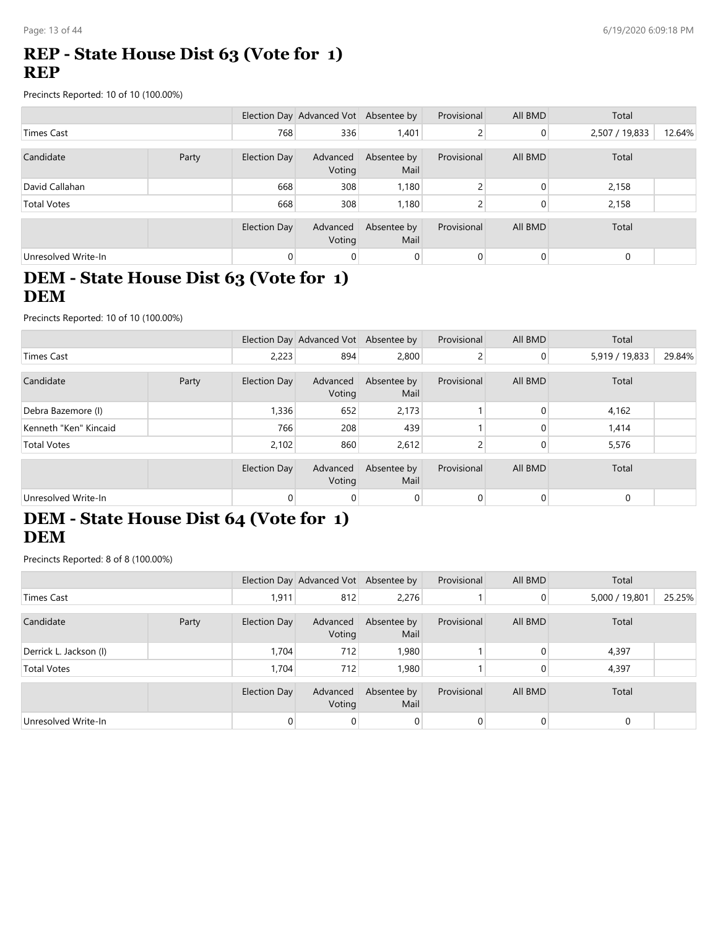### **REP - State House Dist 63 (Vote for 1) REP**

Precincts Reported: 10 of 10 (100.00%)

|                     |       |                     | Election Day Advanced Vot Absentee by |                     | Provisional | All BMD | Total          |        |
|---------------------|-------|---------------------|---------------------------------------|---------------------|-------------|---------|----------------|--------|
| Times Cast          |       | 768                 | 336                                   | 1,401               |             | 0       | 2,507 / 19,833 | 12.64% |
| Candidate           | Party | Election Day        | Advanced<br>Voting                    | Absentee by<br>Mail | Provisional | All BMD | Total          |        |
| David Callahan      |       | 668                 | 308                                   | 1,180               |             | 0       | 2,158          |        |
| <b>Total Votes</b>  |       | 668                 | 308                                   | 1,180               |             | 0       | 2,158          |        |
|                     |       | <b>Election Day</b> | Advanced<br>Voting                    | Absentee by<br>Mail | Provisional | All BMD | Total          |        |
| Unresolved Write-In |       | $\overline{0}$      | 0                                     | $\overline{0}$      | 0           | 0       | $\mathbf 0$    |        |

### **DEM - State House Dist 63 (Vote for 1) DEM**

Precincts Reported: 10 of 10 (100.00%)

|                       |       |                     | Election Day Advanced Vot Absentee by |                     | Provisional | All BMD        | Total          |        |
|-----------------------|-------|---------------------|---------------------------------------|---------------------|-------------|----------------|----------------|--------|
| <b>Times Cast</b>     |       | 2,223               | 894                                   | 2,800               |             | $\overline{0}$ | 5,919 / 19,833 | 29.84% |
| Candidate             | Party | Election Day        | Advanced<br>Voting                    | Absentee by<br>Mail | Provisional | All BMD        | Total          |        |
| Debra Bazemore (I)    |       | 1,336               | 652                                   | 2,173               |             |                | 4,162          |        |
| Kenneth "Ken" Kincaid |       | 766                 | 208                                   | 439                 |             |                | 1,414          |        |
| <b>Total Votes</b>    |       | 2,102               | 860                                   | 2,612               |             |                | 5,576          |        |
|                       |       | <b>Election Day</b> | Advanced<br>Voting                    | Absentee by<br>Mail | Provisional | All BMD        | Total          |        |
| Unresolved Write-In   |       | $\Omega$            | $\mathbf{0}$                          | $\Omega$            | $\Omega$    |                | 0              |        |

# **DEM - State House Dist 64 (Vote for 1) DEM**

|                        |       |              | Election Day Advanced Vot Absentee by |                     | Provisional | All BMD        | Total          |        |
|------------------------|-------|--------------|---------------------------------------|---------------------|-------------|----------------|----------------|--------|
| <b>Times Cast</b>      |       | 1,911        | 812                                   | 2,276               |             | $\overline{0}$ | 5,000 / 19,801 | 25.25% |
| Candidate              | Party | Election Day | Advanced<br>Voting                    | Absentee by<br>Mail | Provisional | All BMD        | Total          |        |
| Derrick L. Jackson (I) |       | 1,704        | 712                                   | 1,980               |             |                | 4,397          |        |
| <b>Total Votes</b>     |       | 1,704        | 712                                   | 1,980               |             |                | 4,397          |        |
|                        |       | Election Day | Advanced<br>Voting                    | Absentee by<br>Mail | Provisional | All BMD        | Total          |        |
| Unresolved Write-In    |       | $\Omega$     | $\overline{0}$                        | $\Omega$            |             | $\Omega$       | $\mathbf 0$    |        |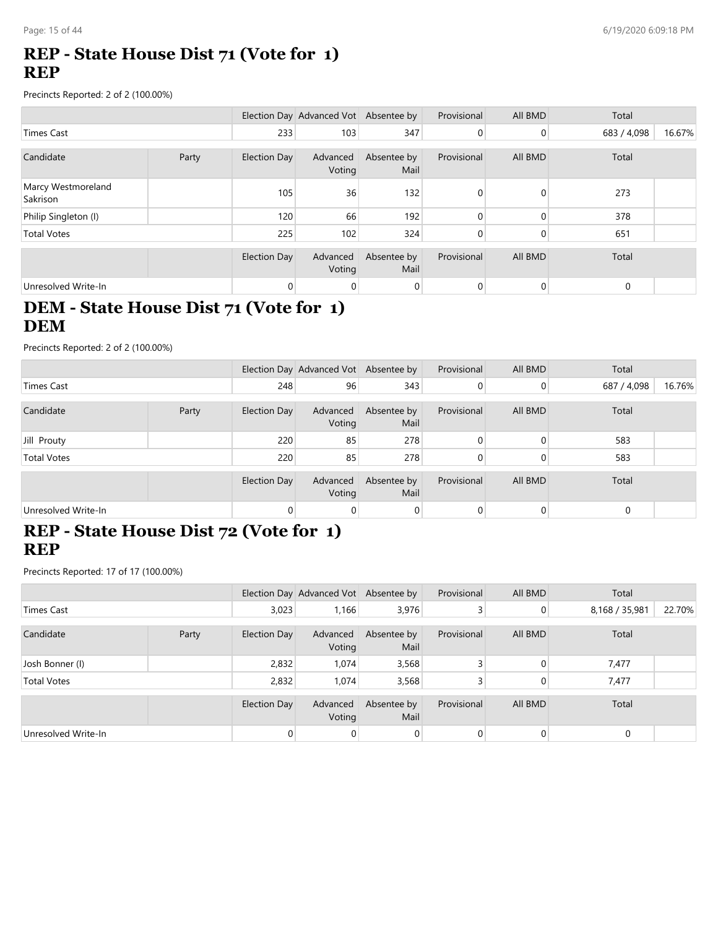### **REP - State House Dist 71 (Vote for 1) REP**

Precincts Reported: 2 of 2 (100.00%)

|                                |       |                     | Election Day Advanced Vot Absentee by |                     | Provisional | All BMD | Total       |        |
|--------------------------------|-------|---------------------|---------------------------------------|---------------------|-------------|---------|-------------|--------|
| <b>Times Cast</b>              |       | 233                 | 103                                   | 347                 | 0           | 0       | 683 / 4,098 | 16.67% |
| Candidate                      | Party | Election Day        | Advanced<br>Voting                    | Absentee by<br>Mail | Provisional | All BMD | Total       |        |
| Marcy Westmoreland<br>Sakrison |       | 105                 | 36                                    | 132                 | $\Omega$    | 0       | 273         |        |
| Philip Singleton (I)           |       | 120                 | 66                                    | 192                 |             | 0       | 378         |        |
| <b>Total Votes</b>             |       | 225                 | 102                                   | 324                 | 0           | 0       | 651         |        |
|                                |       | <b>Election Day</b> | Advanced<br>Voting                    | Absentee by<br>Mail | Provisional | All BMD | Total       |        |
| Unresolved Write-In            |       | 0                   | 0                                     | 0                   | $\Omega$    | 0       | $\mathbf 0$ |        |

# **DEM - State House Dist 71 (Vote for 1) DEM**

Precincts Reported: 2 of 2 (100.00%)

|                     |       |              | Election Day Advanced Vot Absentee by |                     | Provisional | All BMD | Total       |        |
|---------------------|-------|--------------|---------------------------------------|---------------------|-------------|---------|-------------|--------|
| Times Cast          |       | 248          | 96                                    | 343                 |             | 0       | 687 / 4,098 | 16.76% |
| Candidate           | Party | Election Day | Advanced<br>Voting                    | Absentee by<br>Mail | Provisional | All BMD | Total       |        |
| Jill Prouty         |       | 220          | 85                                    | 278                 |             |         | 583         |        |
| <b>Total Votes</b>  |       | 220          | 85                                    | 278                 |             |         | 583         |        |
|                     |       | Election Day | Advanced<br>Voting                    | Absentee by<br>Mail | Provisional | All BMD | Total       |        |
| Unresolved Write-In |       | $\Omega$     | 0                                     | 0                   |             |         | 0           |        |

#### **REP - State House Dist 72 (Vote for 1) REP**

Precincts Reported: 17 of 17 (100.00%)

|                     |       |              | Election Day Advanced Vot Absentee by |                     | Provisional | All BMD | Total          |        |
|---------------------|-------|--------------|---------------------------------------|---------------------|-------------|---------|----------------|--------|
| <b>Times Cast</b>   |       | 3,023        | 1,166                                 | 3,976               |             | 0       | 8,168 / 35,981 | 22.70% |
| Candidate           | Party | Election Day | Advanced<br>Voting                    | Absentee by<br>Mail | Provisional | All BMD | Total          |        |
| Josh Bonner (I)     |       | 2,832        | 1.074                                 | 3,568               |             |         | 7,477          |        |
| <b>Total Votes</b>  |       | 2,832        | 1,074                                 | 3,568               |             |         | 7,477          |        |
|                     |       | Election Day | Advanced<br>Voting                    | Absentee by<br>Mail | Provisional | All BMD | Total          |        |
| Unresolved Write-In |       |              | 0                                     | $\Omega$            |             |         | $\mathbf 0$    |        |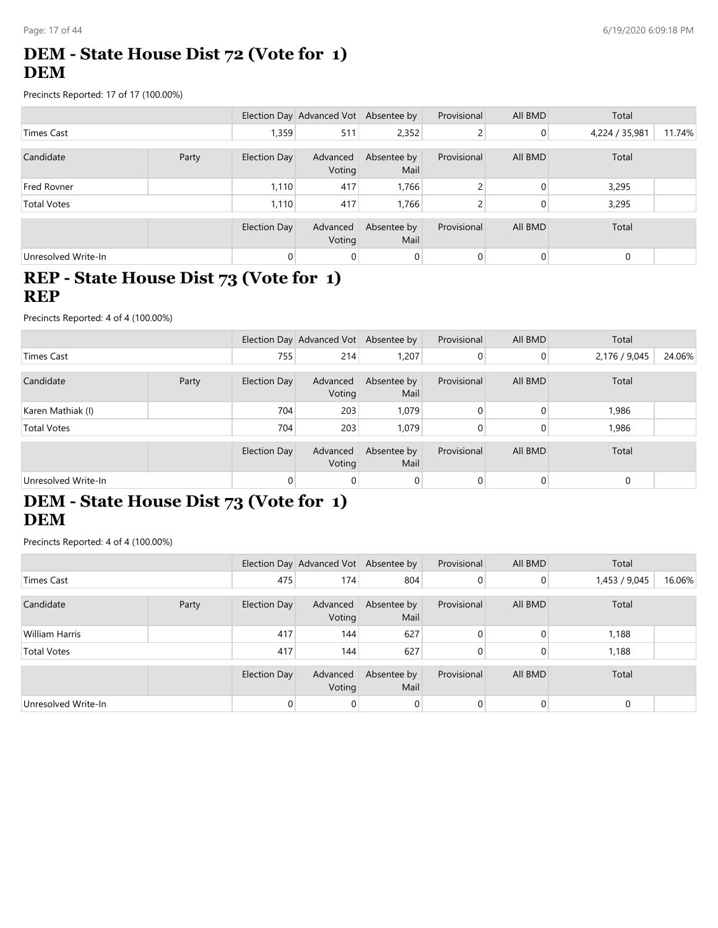# **DEM - State House Dist 72 (Vote for 1) DEM**

Precincts Reported: 17 of 17 (100.00%)

|                     |       |                | Election Day Advanced Vot Absentee by |                     | Provisional | All BMD | Total          |        |
|---------------------|-------|----------------|---------------------------------------|---------------------|-------------|---------|----------------|--------|
| Times Cast          |       | 1,359          | 511                                   | 2,352               | 2           | 0       | 4,224 / 35,981 | 11.74% |
| Candidate           | Party | Election Day   | Advanced<br>Voting                    | Absentee by<br>Mail | Provisional | All BMD | Total          |        |
| <b>Fred Rovner</b>  |       | 1,110          | 417                                   | 1,766               |             | 0       | 3,295          |        |
| <b>Total Votes</b>  |       | 1,110          | 417                                   | 1,766               |             | 0       | 3,295          |        |
|                     |       | Election Day   | Advanced<br>Voting                    | Absentee by<br>Mail | Provisional | All BMD | Total          |        |
| Unresolved Write-In |       | $\overline{0}$ | 0                                     | $\overline{0}$      | 0           | 0       | $\mathbf 0$    |        |

#### **REP - State House Dist 73 (Vote for 1) REP**

Precincts Reported: 4 of 4 (100.00%)

|                     |       |              | Election Day Advanced Vot Absentee by |                     | Provisional | All BMD  | Total         |        |
|---------------------|-------|--------------|---------------------------------------|---------------------|-------------|----------|---------------|--------|
| Times Cast          |       | 755          | 214                                   | 1,207               |             | $\Omega$ | 2,176 / 9,045 | 24.06% |
| Candidate           | Party | Election Day | Advanced<br>Voting                    | Absentee by<br>Mail | Provisional | All BMD  | Total         |        |
| Karen Mathiak (I)   |       | 704          | 203                                   | 1,079               |             |          | 1,986         |        |
| <b>Total Votes</b>  |       | 704          | 203                                   | 1,079               |             |          | 1,986         |        |
|                     |       | Election Day | Advanced<br>Voting                    | Absentee by<br>Mail | Provisional | All BMD  | Total         |        |
| Unresolved Write-In |       | $\Omega$     | 0                                     | $\overline{0}$      |             | 0        | $\Omega$      |        |

### **DEM - State House Dist 73 (Vote for 1) DEM**

|                       |       |              | Election Day Advanced Vot Absentee by |                     | Provisional | All BMD  | Total         |        |
|-----------------------|-------|--------------|---------------------------------------|---------------------|-------------|----------|---------------|--------|
| Times Cast            |       | 475          | 174                                   | 804                 |             | $\Omega$ | 1,453 / 9,045 | 16.06% |
| Candidate             | Party | Election Day | Advanced<br>Voting                    | Absentee by<br>Mail | Provisional | All BMD  | Total         |        |
| <b>William Harris</b> |       | 417          | 144                                   | 627                 |             |          | 1,188         |        |
| <b>Total Votes</b>    |       | 417          | 144                                   | 627                 |             | 0        | 1,188         |        |
|                       |       | Election Day | Advanced<br>Voting                    | Absentee by<br>Mail | Provisional | All BMD  | Total         |        |
| Unresolved Write-In   |       |              |                                       |                     |             | $\Omega$ | $\mathbf 0$   |        |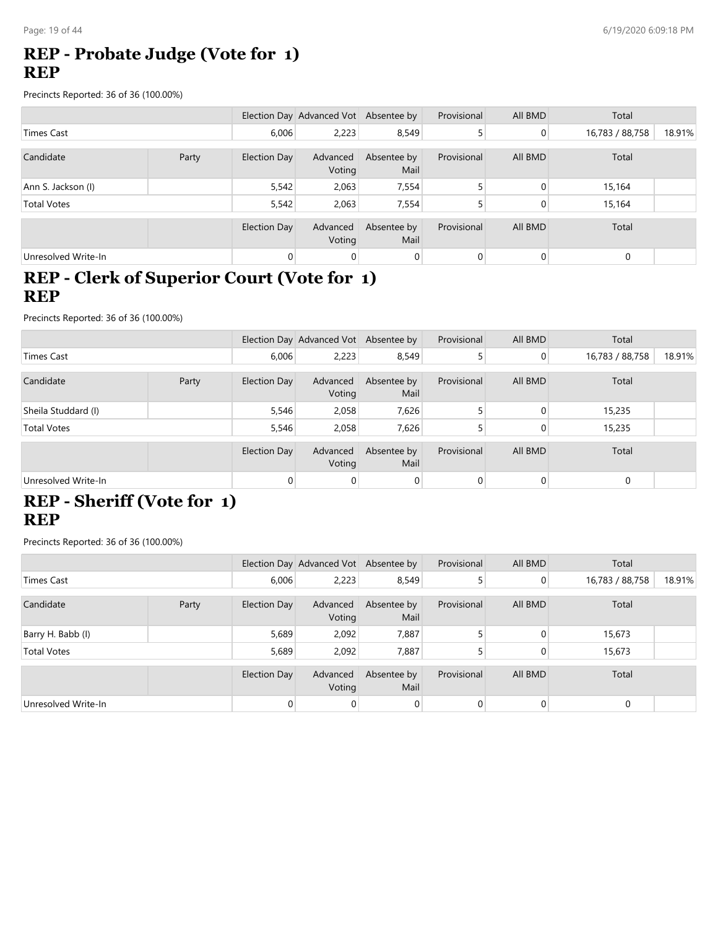### **REP - Probate Judge (Vote for 1) REP**

Precincts Reported: 36 of 36 (100.00%)

|                     |       |                     | Election Day Advanced Vot Absentee by |                     | Provisional | All BMD | Total           |        |
|---------------------|-------|---------------------|---------------------------------------|---------------------|-------------|---------|-----------------|--------|
| Times Cast          |       | 6,006               | 2,223                                 | 8,549               |             | 0       | 16,783 / 88,758 | 18.91% |
| Candidate           | Party | Election Day        | Advanced<br>Voting                    | Absentee by<br>Mail | Provisional | All BMD | Total           |        |
| Ann S. Jackson (I)  |       | 5,542               | 2,063                                 | 7,554               |             | 0       | 15,164          |        |
| <b>Total Votes</b>  |       | 5,542               | 2,063                                 | 7,554               |             | 0       | 15,164          |        |
|                     |       | <b>Election Day</b> | Advanced<br>Voting                    | Absentee by<br>Mail | Provisional | All BMD | Total           |        |
| Unresolved Write-In |       | $\overline{0}$      | 0                                     | $\overline{0}$      | 0           | 0       | $\mathbf 0$     |        |

# **REP - Clerk of Superior Court (Vote for 1) REP**

Precincts Reported: 36 of 36 (100.00%)

|                     |       |              | Election Day Advanced Vot Absentee by |                     | Provisional | All BMD        | Total           |        |
|---------------------|-------|--------------|---------------------------------------|---------------------|-------------|----------------|-----------------|--------|
| <b>Times Cast</b>   |       | 6,006        | 2,223                                 | 8,549               |             | $\overline{0}$ | 16,783 / 88,758 | 18.91% |
| Candidate           | Party | Election Day | Advanced<br>Voting                    | Absentee by<br>Mail | Provisional | All BMD        | Total           |        |
| Sheila Studdard (I) |       | 5,546        | 2,058                                 | 7,626               |             |                | 15,235          |        |
| <b>Total Votes</b>  |       | 5,546        | 2,058                                 | 7,626               |             |                | 15,235          |        |
|                     |       | Election Day | Advanced<br>Voting                    | Absentee by<br>Mail | Provisional | All BMD        | Total           |        |
| Unresolved Write-In |       | $\Omega$     | $\overline{0}$                        | $\Omega$            |             |                | $\mathbf 0$     |        |

# **REP - Sheriff (Vote for 1) REP**

|                     |       |                     | Election Day Advanced Vot Absentee by |                     | Provisional | All BMD        | Total           |        |
|---------------------|-------|---------------------|---------------------------------------|---------------------|-------------|----------------|-----------------|--------|
| <b>Times Cast</b>   |       | 6,006               | 2,223                                 | 8,549               |             | $\overline{0}$ | 16,783 / 88,758 | 18.91% |
|                     |       |                     |                                       |                     |             |                |                 |        |
| Candidate           | Party | Election Day        | Advanced<br>Voting                    | Absentee by<br>Mail | Provisional | All BMD        | Total           |        |
| Barry H. Babb (I)   |       | 5,689               | 2,092                                 | 7,887               |             | 0              | 15,673          |        |
| <b>Total Votes</b>  |       | 5,689               | 2,092                                 | 7,887               |             | 0              | 15,673          |        |
|                     |       |                     |                                       |                     |             |                |                 |        |
|                     |       | <b>Election Day</b> | Advanced<br>Voting                    | Absentee by<br>Mail | Provisional | All BMD        | Total           |        |
| Unresolved Write-In |       | $\Omega$            | 0                                     | $\overline{0}$      | $\Omega$    | 0              | $\mathbf 0$     |        |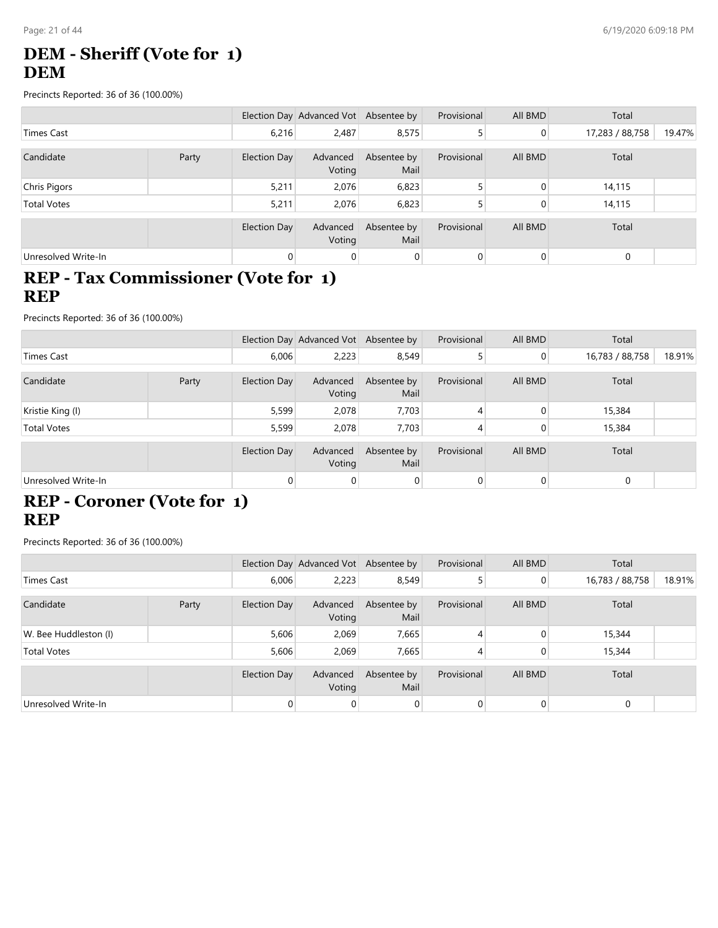# **DEM - Sheriff (Vote for 1) DEM**

Precincts Reported: 36 of 36 (100.00%)

|                     |       |                | Election Day Advanced Vot Absentee by |                     | Provisional | All BMD        | Total           |        |
|---------------------|-------|----------------|---------------------------------------|---------------------|-------------|----------------|-----------------|--------|
| Times Cast          |       | 6,216          | 2,487                                 | 8,575               |             | $\mathbf 0$    | 17,283 / 88,758 | 19.47% |
| Candidate           | Party | Election Day   | Advanced<br>Voting                    | Absentee by<br>Mail | Provisional | All BMD        | Total           |        |
| Chris Pigors        |       | 5,211          | 2,076                                 | 6,823               |             | 0              | 14,115          |        |
| <b>Total Votes</b>  |       | 5,211          | 2.076                                 | 6,823               |             | 0              | 14,115          |        |
|                     |       | Election Day   | Advanced<br>Voting                    | Absentee by<br>Mail | Provisional | All BMD        | Total           |        |
| Unresolved Write-In |       | $\overline{0}$ | $\mathbf{0}$                          | $\mathbf 0$         | 0           | $\overline{0}$ | $\mathbf 0$     |        |

#### **REP - Tax Commissioner (Vote for 1) REP**

Precincts Reported: 36 of 36 (100.00%)

|                     |       |                     | Election Day Advanced Vot Absentee by |                     | Provisional | All BMD        | Total           |        |
|---------------------|-------|---------------------|---------------------------------------|---------------------|-------------|----------------|-----------------|--------|
| Times Cast          |       | 6,006               | 2,223                                 | 8,549               |             | $\overline{0}$ | 16,783 / 88,758 | 18.91% |
| Candidate           | Party | Election Day        | Advanced<br>Voting                    | Absentee by<br>Mail | Provisional | All BMD        | Total           |        |
| Kristie King (I)    |       | 5,599               | 2,078                                 | 7,703               |             | $\Omega$       | 15,384          |        |
| <b>Total Votes</b>  |       | 5,599               | 2,078                                 | 7,703               |             | 0              | 15,384          |        |
|                     |       | <b>Election Day</b> | Advanced<br>Voting                    | Absentee by<br>Mail | Provisional | All BMD        | Total           |        |
| Unresolved Write-In |       | $\Omega$            | 0                                     | $\Omega$            |             | $\Omega$       | $\mathbf 0$     |        |

# **REP - Coroner (Vote for 1) REP**

|                       |       |                     | Election Day Advanced Vot Absentee by |                     | Provisional | All BMD | Total           |        |
|-----------------------|-------|---------------------|---------------------------------------|---------------------|-------------|---------|-----------------|--------|
| <b>Times Cast</b>     |       | 6,006               | 2,223                                 | 8,549               |             | 0       | 16,783 / 88,758 | 18.91% |
|                       |       |                     |                                       |                     |             |         |                 |        |
| Candidate             | Party | Election Day        | Advanced<br>Voting                    | Absentee by<br>Mail | Provisional | All BMD | Total           |        |
| W. Bee Huddleston (I) |       | 5,606               | 2.069                                 | 7,665               | 4           | 0       | 15,344          |        |
| <b>Total Votes</b>    |       | 5,606               | 2,069                                 | 7,665               |             | 0       | 15,344          |        |
|                       |       |                     |                                       |                     |             |         |                 |        |
|                       |       | <b>Election Day</b> | Advanced<br>Voting                    | Absentee by<br>Mail | Provisional | All BMD | Total           |        |
| Unresolved Write-In   |       | $\overline{0}$      | 0                                     | $\overline{0}$      | $\Omega$    | 0       | $\mathbf 0$     |        |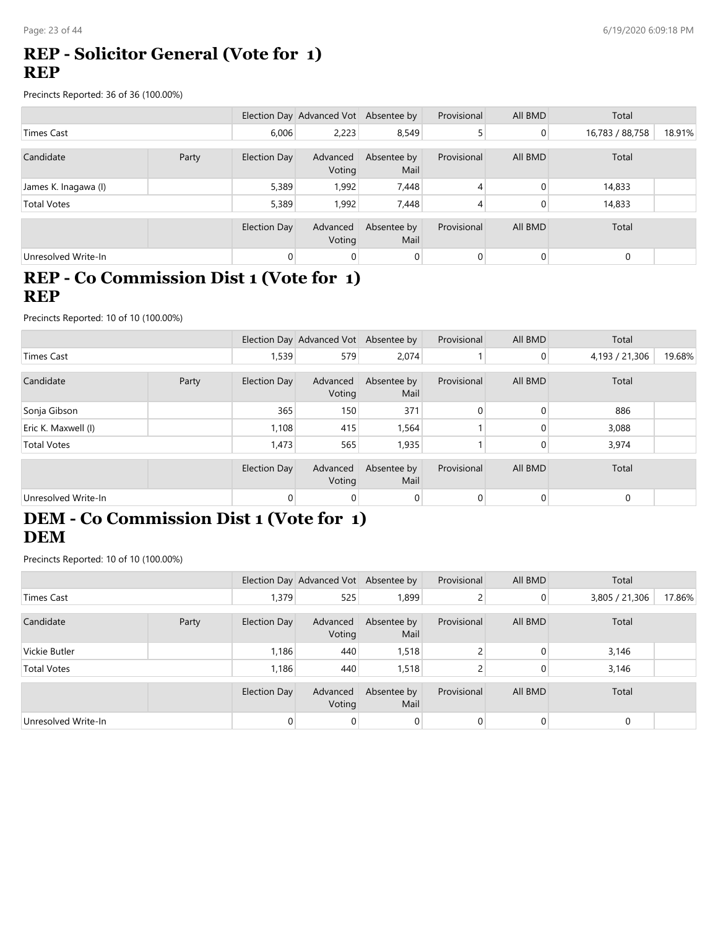#### **REP - Solicitor General (Vote for 1) REP**

Precincts Reported: 36 of 36 (100.00%)

|                      |       |                     | Election Day Advanced Vot Absentee by |                     | Provisional | All BMD | Total           |        |
|----------------------|-------|---------------------|---------------------------------------|---------------------|-------------|---------|-----------------|--------|
| <b>Times Cast</b>    |       | 6,006               | 2,223                                 | 8,549               |             | 0       | 16,783 / 88,758 | 18.91% |
| Candidate            | Party | Election Day        | Advanced<br>Voting                    | Absentee by<br>Mail | Provisional | All BMD | Total           |        |
| James K. Inagawa (I) |       | 5,389               | 1,992                                 | 7,448               | 4           | 0       | 14,833          |        |
| <b>Total Votes</b>   |       | 5,389               | 1,992                                 | 7,448               | 4           | 0       | 14,833          |        |
|                      |       | <b>Election Day</b> | Advanced<br>Voting                    | Absentee by<br>Mail | Provisional | All BMD | Total           |        |
| Unresolved Write-In  |       | $\overline{0}$      | 0                                     | $\overline{0}$      | 0           | 0       | $\mathbf 0$     |        |

#### **REP - Co Commission Dist 1 (Vote for 1) REP**

Precincts Reported: 10 of 10 (100.00%)

|                     |       |                     | Election Day Advanced Vot Absentee by |                     | Provisional | All BMD        | Total          |        |
|---------------------|-------|---------------------|---------------------------------------|---------------------|-------------|----------------|----------------|--------|
| <b>Times Cast</b>   |       | 1,539               | 579                                   | 2,074               |             | $\overline{0}$ | 4,193 / 21,306 | 19.68% |
| Candidate           | Party | Election Day        | Advanced<br>Voting                    | Absentee by<br>Mail | Provisional | All BMD        | Total          |        |
| Sonja Gibson        |       | 365                 | 150                                   | 371                 |             | $\Omega$       | 886            |        |
| Eric K. Maxwell (I) |       | 1,108               | 415                                   | 1,564               |             |                | 3,088          |        |
| <b>Total Votes</b>  |       | 1,473               | 565                                   | 1,935               |             |                | 3,974          |        |
|                     |       | <b>Election Day</b> | Advanced<br>Voting                    | Absentee by<br>Mail | Provisional | All BMD        | Total          |        |
| Unresolved Write-In |       | $\overline{0}$      | $\overline{0}$                        |                     |             | $\Omega$       | $\mathbf 0$    |        |

# **DEM - Co Commission Dist 1 (Vote for 1) DEM**

Precincts Reported: 10 of 10 (100.00%)

|                     |       |                     | Election Day Advanced Vot Absentee by |                     | Provisional | All BMD        | Total          |        |
|---------------------|-------|---------------------|---------------------------------------|---------------------|-------------|----------------|----------------|--------|
| Times Cast          |       | 1,379               | 525                                   | 1,899               |             | $\overline{0}$ | 3,805 / 21,306 | 17.86% |
| Candidate           | Party | Election Day        | Advanced<br>Voting                    | Absentee by<br>Mail | Provisional | All BMD        | Total          |        |
| Vickie Butler       |       | 1,186               | 440                                   | 1,518               |             | $\Omega$       | 3,146          |        |
| <b>Total Votes</b>  |       | 1,186               | 440                                   | 1,518               |             |                | 3,146          |        |
|                     |       | <b>Election Day</b> | Advanced<br>Voting                    | Absentee by<br>Mail | Provisional | All BMD        | Total          |        |
| Unresolved Write-In |       | $\Omega$            | 0                                     | $\Omega$            |             | $\Omega$       | 0              |        |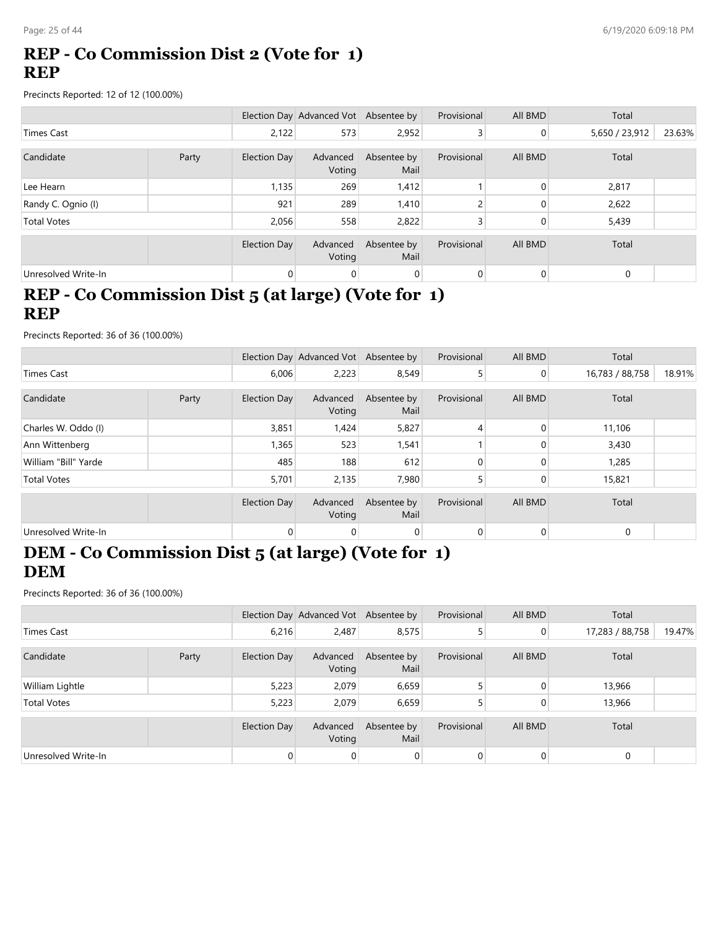## **REP - Co Commission Dist 2 (Vote for 1) REP**

Precincts Reported: 12 of 12 (100.00%)

|                     |       |                     | Election Day Advanced Vot Absentee by |                     | Provisional | All BMD        | Total          |        |
|---------------------|-------|---------------------|---------------------------------------|---------------------|-------------|----------------|----------------|--------|
| <b>Times Cast</b>   |       | 2,122               | 573                                   | 2,952               | 3           | $\overline{0}$ | 5,650 / 23,912 | 23.63% |
|                     |       |                     |                                       |                     |             |                |                |        |
| Candidate           | Party | <b>Election Day</b> | Advanced<br>Voting                    | Absentee by<br>Mail | Provisional | All BMD        | Total          |        |
| Lee Hearn           |       | 1,135               | 269                                   | 1,412               |             | $\Omega$       | 2,817          |        |
| Randy C. Ognio (I)  |       | 921                 | 289                                   | 1,410               |             | $\mathbf{0}$   | 2,622          |        |
| <b>Total Votes</b>  |       | 2,056               | 558                                   | 2,822               |             | 0              | 5,439          |        |
|                     |       |                     |                                       |                     |             |                |                |        |
|                     |       | <b>Election Day</b> | Advanced<br>Voting                    | Absentee by<br>Mail | Provisional | All BMD        | Total          |        |
| Unresolved Write-In |       | 0                   | 0                                     | $\overline{0}$      | 0           | 0              | $\mathbf 0$    |        |

#### **REP - Co Commission Dist 5 (at large) (Vote for 1) REP**

Precincts Reported: 36 of 36 (100.00%)

|                      |       |                     | Election Day Advanced Vot Absentee by |                     | Provisional | All BMD        | Total           |        |
|----------------------|-------|---------------------|---------------------------------------|---------------------|-------------|----------------|-----------------|--------|
| <b>Times Cast</b>    |       | 6,006               | 2,223                                 | 8,549               | 5           | $\overline{0}$ | 16,783 / 88,758 | 18.91% |
| Candidate            | Party | <b>Election Day</b> | Advanced<br>Voting                    | Absentee by<br>Mail | Provisional | All BMD        | Total           |        |
| Charles W. Oddo (I)  |       | 3,851               | 1,424                                 | 5,827               | 4           | $\Omega$       | 11,106          |        |
| Ann Wittenberg       |       | 1,365               | 523                                   | 1,541               |             |                | 3,430           |        |
| William "Bill" Yarde |       | 485                 | 188                                   | 612                 |             |                | 1,285           |        |
| <b>Total Votes</b>   |       | 5,701               | 2,135                                 | 7,980               |             | $\Omega$       | 15,821          |        |
|                      |       | <b>Election Day</b> | Advanced<br>Voting                    | Absentee by<br>Mail | Provisional | All BMD        | Total           |        |
| Unresolved Write-In  |       | $\mathbf 0$         | 0                                     | 0                   | $\mathbf 0$ | $\overline{0}$ | 0               |        |

#### **DEM - Co Commission Dist 5 (at large) (Vote for 1) DEM**

|                     |       |                     | Election Day Advanced Vot Absentee by |                     | Provisional | All BMD        | Total           |        |
|---------------------|-------|---------------------|---------------------------------------|---------------------|-------------|----------------|-----------------|--------|
| Times Cast          |       | 6,216               | 2,487                                 | 8,575               |             | $\overline{0}$ | 17,283 / 88,758 | 19.47% |
| Candidate           | Party | Election Day        | Advanced<br>Voting                    | Absentee by<br>Mail | Provisional | All BMD        | Total           |        |
| William Lightle     |       | 5,223               | 2,079                                 | 6,659               |             | $\Omega$       | 13,966          |        |
| <b>Total Votes</b>  |       | 5,223               | 2,079                                 | 6,659               |             | 0              | 13,966          |        |
|                     |       | <b>Election Day</b> | Advanced<br>Voting                    | Absentee by<br>Mail | Provisional | All BMD        | Total           |        |
| Unresolved Write-In |       | $\Omega$            | $\overline{0}$                        |                     | $\Omega$    | 0              | $\mathbf 0$     |        |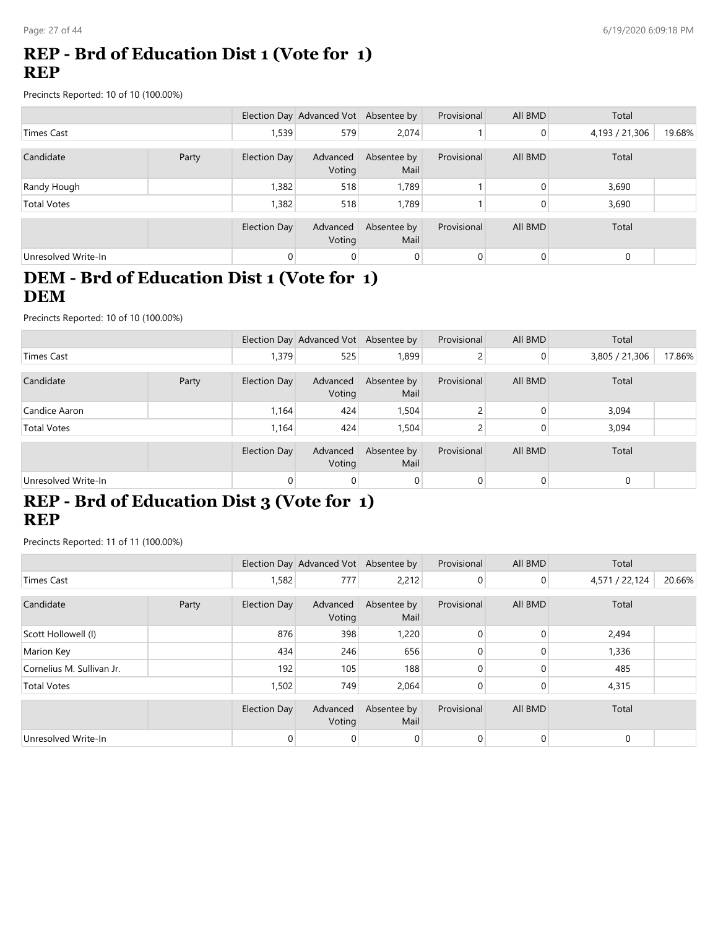### **REP - Brd of Education Dist 1 (Vote for 1) REP**

Precincts Reported: 10 of 10 (100.00%)

|                     |       |                     | Election Day Advanced Vot Absentee by |                     | Provisional | All BMD | Total          |        |
|---------------------|-------|---------------------|---------------------------------------|---------------------|-------------|---------|----------------|--------|
| Times Cast          |       | 1,539               | 579                                   | 2,074               |             | 0       | 4,193 / 21,306 | 19.68% |
| Candidate           | Party | Election Day        | Advanced<br>Voting                    | Absentee by<br>Mail | Provisional | All BMD | Total          |        |
| Randy Hough         |       | 1,382               | 518                                   | 1,789               |             | 0       | 3,690          |        |
| <b>Total Votes</b>  |       | 1,382               | 518                                   | 1,789               |             | 0       | 3,690          |        |
|                     |       | <b>Election Day</b> | Advanced<br>Voting                    | Absentee by<br>Mail | Provisional | All BMD | Total          |        |
| Unresolved Write-In |       | $\overline{0}$      | 0                                     | $\overline{0}$      | 0           | 0       | $\mathbf 0$    |        |

# **DEM - Brd of Education Dist 1 (Vote for 1) DEM**

Precincts Reported: 10 of 10 (100.00%)

|                     |       |              | Election Day Advanced Vot Absentee by |                     | Provisional | All BMD  | Total          |        |
|---------------------|-------|--------------|---------------------------------------|---------------------|-------------|----------|----------------|--------|
| Times Cast          |       | 1,379        | 525                                   | 1,899               |             | $\Omega$ | 3,805 / 21,306 | 17.86% |
| Candidate           | Party | Election Day | Advanced<br>Voting                    | Absentee by<br>Mail | Provisional | All BMD  | Total          |        |
| Candice Aaron       |       | 1,164        | 424                                   | 1,504               |             | $\Omega$ | 3,094          |        |
| <b>Total Votes</b>  |       | 1,164        | 424                                   | 1,504               |             |          | 3,094          |        |
|                     |       | Election Day | Advanced<br>Voting                    | Absentee by<br>Mail | Provisional | All BMD  | Total          |        |
| Unresolved Write-In |       | $\Omega$     | $\overline{0}$                        | $\overline{0}$      |             | $\Omega$ | $\mathbf 0$    |        |

# **REP - Brd of Education Dist 3 (Vote for 1) REP**

Precincts Reported: 11 of 11 (100.00%)

|                           |       |                     | Election Day Advanced Vot Absentee by |                     | Provisional | All BMD        | Total          |        |
|---------------------------|-------|---------------------|---------------------------------------|---------------------|-------------|----------------|----------------|--------|
| <b>Times Cast</b>         |       | 1,582               | 777                                   | 2,212               |             | $\overline{0}$ | 4,571 / 22,124 | 20.66% |
| Candidate                 | Party | Election Day        | Advanced<br>Voting                    | Absentee by<br>Mail | Provisional | All BMD        | Total          |        |
| Scott Hollowell (I)       |       | 876                 | 398                                   | 1,220               |             |                | 2,494          |        |
| Marion Key                |       | 434                 | 246                                   | 656                 |             |                | 1,336          |        |
| Cornelius M. Sullivan Jr. |       | 192                 | 105                                   | 188                 |             |                | 485            |        |
| <b>Total Votes</b>        |       | 1,502               | 749                                   | 2,064               |             |                | 4,315          |        |
|                           |       | <b>Election Day</b> | Advanced<br>Voting                    | Absentee by<br>Mail | Provisional | All BMD        | Total          |        |
| Unresolved Write-In       |       |                     | $\Omega$                              |                     |             |                | 0              |        |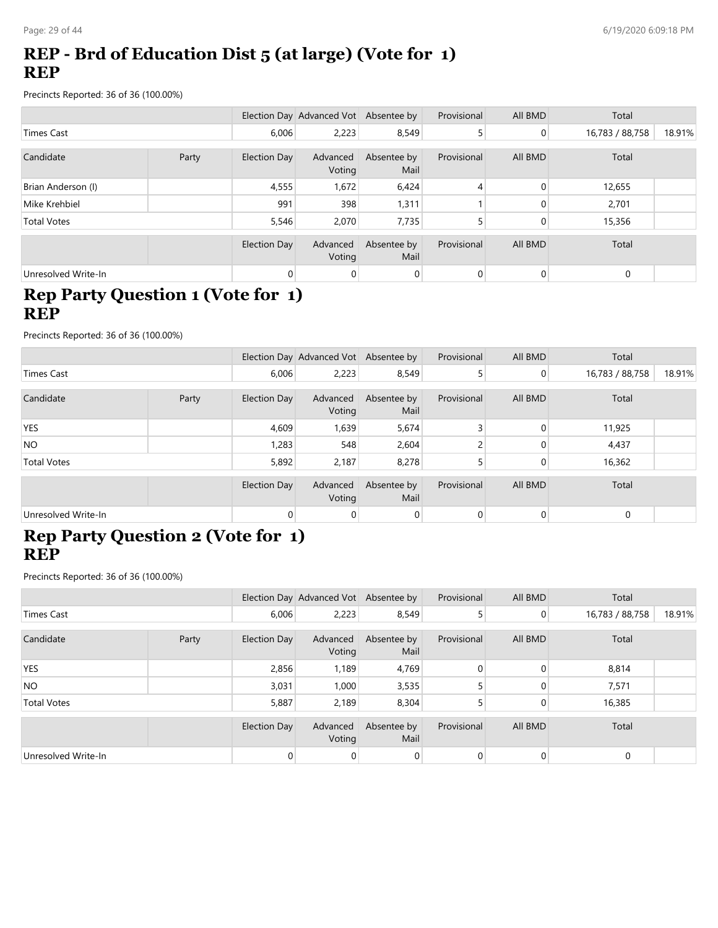# **REP - Brd of Education Dist 5 (at large) (Vote for 1) REP**

Precincts Reported: 36 of 36 (100.00%)

|                     |       |                     | Election Day Advanced Vot Absentee by |                     | Provisional | All BMD  | Total           |        |
|---------------------|-------|---------------------|---------------------------------------|---------------------|-------------|----------|-----------------|--------|
| <b>Times Cast</b>   |       | 6,006               | 2,223                                 | 8,549               | 5           | 0        | 16,783 / 88,758 | 18.91% |
|                     |       |                     |                                       |                     |             |          |                 |        |
| Candidate           | Party | Election Day        | Advanced<br>Voting                    | Absentee by<br>Mail | Provisional | All BMD  | Total           |        |
| Brian Anderson (I)  |       | 4,555               | 1,672                                 | 6,424               | 4           | $\Omega$ | 12,655          |        |
| Mike Krehbiel       |       | 991                 | 398                                   | 1,311               |             | 0        | 2,701           |        |
| <b>Total Votes</b>  |       | 5,546               | 2,070                                 | 7,735               |             | 0        | 15,356          |        |
|                     |       |                     |                                       |                     |             |          |                 |        |
|                     |       | <b>Election Day</b> | Advanced<br>Voting                    | Absentee by<br>Mail | Provisional | All BMD  | Total           |        |
| Unresolved Write-In |       | $\overline{0}$      | 0                                     | $\overline{0}$      | 0           | 0        | $\mathbf 0$     |        |

# **Rep Party Question 1 (Vote for 1) REP**

Precincts Reported: 36 of 36 (100.00%)

|                     |       |                     | Election Day Advanced Vot Absentee by |                     | Provisional  | All BMD        | Total           |        |
|---------------------|-------|---------------------|---------------------------------------|---------------------|--------------|----------------|-----------------|--------|
| <b>Times Cast</b>   |       | 6,006               | 2,223                                 | 8,549               |              | $\overline{0}$ | 16,783 / 88,758 | 18.91% |
| Candidate           | Party | Election Day        | Advanced<br>Voting                    | Absentee by<br>Mail | Provisional  | All BMD        | Total           |        |
| <b>YES</b>          |       | 4,609               | 1,639                                 | 5,674               |              | $\Omega$       | 11,925          |        |
| <b>NO</b>           |       | 1,283               | 548                                   | 2,604               |              |                | 4,437           |        |
| <b>Total Votes</b>  |       | 5,892               | 2,187                                 | 8,278               |              | $\Omega$       | 16,362          |        |
|                     |       | <b>Election Day</b> | Advanced<br>Voting                    | Absentee by<br>Mail | Provisional  | All BMD        | Total           |        |
| Unresolved Write-In |       | $\mathbf 0$         | 0                                     | $\mathbf 0$         | $\mathbf{0}$ | $\mathbf 0$    | $\mathbf 0$     |        |

#### **Rep Party Question 2 (Vote for 1) REP**

|                     |       |              | Election Day Advanced Vot Absentee by |                     | Provisional | All BMD        | Total           |        |
|---------------------|-------|--------------|---------------------------------------|---------------------|-------------|----------------|-----------------|--------|
| Times Cast          |       | 6,006        | 2,223                                 | 8,549               |             | $\overline{0}$ | 16,783 / 88,758 | 18.91% |
| Candidate           | Party | Election Day | Advanced<br>Voting                    | Absentee by<br>Mail | Provisional | All BMD        | Total           |        |
| <b>YES</b>          |       | 2,856        | 1,189                                 | 4,769               |             | 0              | 8,814           |        |
| <b>NO</b>           |       | 3,031        | 1,000                                 | 3,535               |             |                | 7,571           |        |
| <b>Total Votes</b>  |       | 5,887        | 2,189                                 | 8,304               |             |                | 16,385          |        |
|                     |       | Election Day | Advanced<br>Voting                    | Absentee by<br>Mail | Provisional | All BMD        | Total           |        |
| Unresolved Write-In |       | 0            | 0                                     |                     |             | $\overline{0}$ | $\mathbf 0$     |        |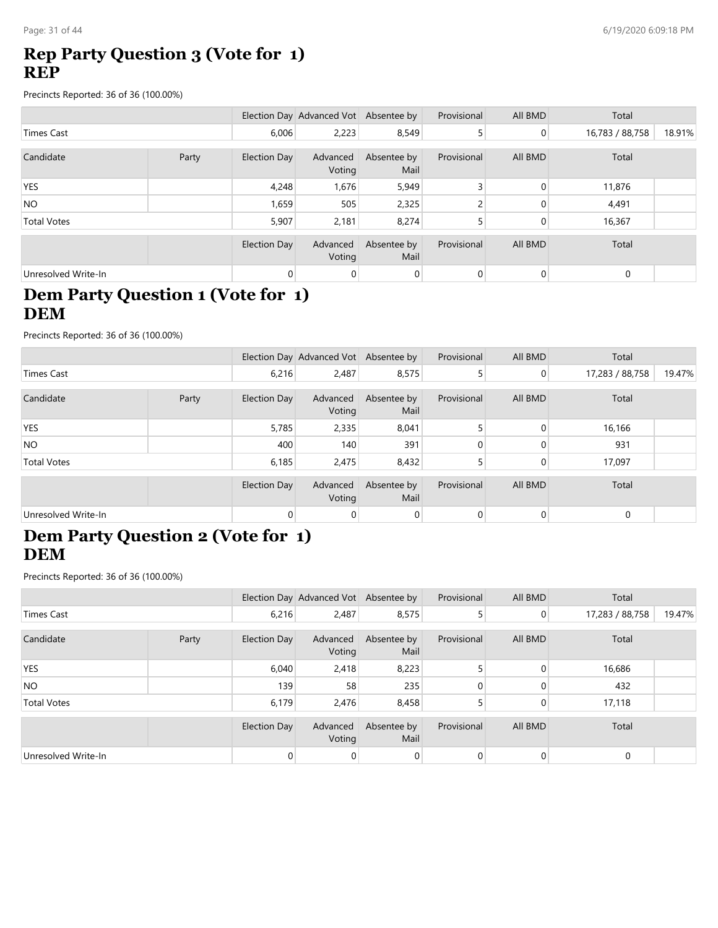### **Rep Party Question 3 (Vote for 1) REP**

Precincts Reported: 36 of 36 (100.00%)

|                     |       |                     | Election Day Advanced Vot Absentee by |                     | Provisional | All BMD        | Total           |        |
|---------------------|-------|---------------------|---------------------------------------|---------------------|-------------|----------------|-----------------|--------|
| Times Cast          |       | 6,006               | 2,223                                 | 8,549               | 5           | $\overline{0}$ | 16,783 / 88,758 | 18.91% |
|                     |       |                     |                                       |                     |             |                |                 |        |
| Candidate           | Party | <b>Election Day</b> | Advanced<br>Voting                    | Absentee by<br>Mail | Provisional | All BMD        | Total           |        |
| <b>YES</b>          |       | 4,248               | 1,676                                 | 5,949               |             | $\Omega$       | 11,876          |        |
| <b>NO</b>           |       | 1,659               | 505                                   | 2,325               |             | 0              | 4,491           |        |
| <b>Total Votes</b>  |       | 5,907               | 2,181                                 | 8,274               |             | 0              | 16,367          |        |
|                     |       |                     |                                       |                     |             |                |                 |        |
|                     |       | <b>Election Day</b> | Advanced<br>Voting                    | Absentee by<br>Mail | Provisional | All BMD        | Total           |        |
| Unresolved Write-In |       | $\overline{0}$      | 0                                     | 0                   | 0           | 0              | $\mathbf 0$     |        |

# **Dem Party Question 1 (Vote for 1) DEM**

Precincts Reported: 36 of 36 (100.00%)

|                     |       |              | Election Day Advanced Vot Absentee by |                     | Provisional | All BMD        | Total           |        |
|---------------------|-------|--------------|---------------------------------------|---------------------|-------------|----------------|-----------------|--------|
| <b>Times Cast</b>   |       | 6,216        | 2,487                                 | 8,575               |             | $\overline{0}$ | 17,283 / 88,758 | 19.47% |
| Candidate           | Party | Election Day | Advanced<br>Voting                    | Absentee by<br>Mail | Provisional | All BMD        | Total           |        |
| <b>YES</b>          |       | 5,785        | 2,335                                 | 8,041               |             | $\Omega$       | 16,166          |        |
| <b>NO</b>           |       | 400          | 140                                   | 391                 |             |                | 931             |        |
| <b>Total Votes</b>  |       | 6,185        | 2,475                                 | 8,432               |             | $\Omega$       | 17,097          |        |
|                     |       | Election Day | Advanced<br>Voting                    | Absentee by<br>Mail | Provisional | All BMD        | Total           |        |
| Unresolved Write-In |       | 0            | 0                                     | $\Omega$            | $\Omega$    |                | 0               |        |

#### **Dem Party Question 2 (Vote for 1) DEM**

|                     |       |              | Election Day Advanced Vot Absentee by |                     | Provisional | All BMD        | Total           |        |
|---------------------|-------|--------------|---------------------------------------|---------------------|-------------|----------------|-----------------|--------|
| Times Cast          |       | 6,216        | 2,487                                 | 8,575               |             | $\overline{0}$ | 17,283 / 88,758 | 19.47% |
| Candidate           | Party | Election Day | Advanced<br>Voting                    | Absentee by<br>Mail | Provisional | All BMD        | Total           |        |
| <b>YES</b>          |       | 6,040        | 2,418                                 | 8,223               |             | $\Omega$       | 16,686          |        |
| <b>NO</b>           |       | 139          | 58                                    | 235                 |             |                | 432             |        |
| <b>Total Votes</b>  |       | 6,179        | 2,476                                 | 8,458               |             |                | 17,118          |        |
|                     |       | Election Day | Advanced<br>Voting                    | Absentee by<br>Mail | Provisional | All BMD        | Total           |        |
| Unresolved Write-In |       | 0            | $\overline{0}$                        |                     |             | $\Omega$       | $\mathbf 0$     |        |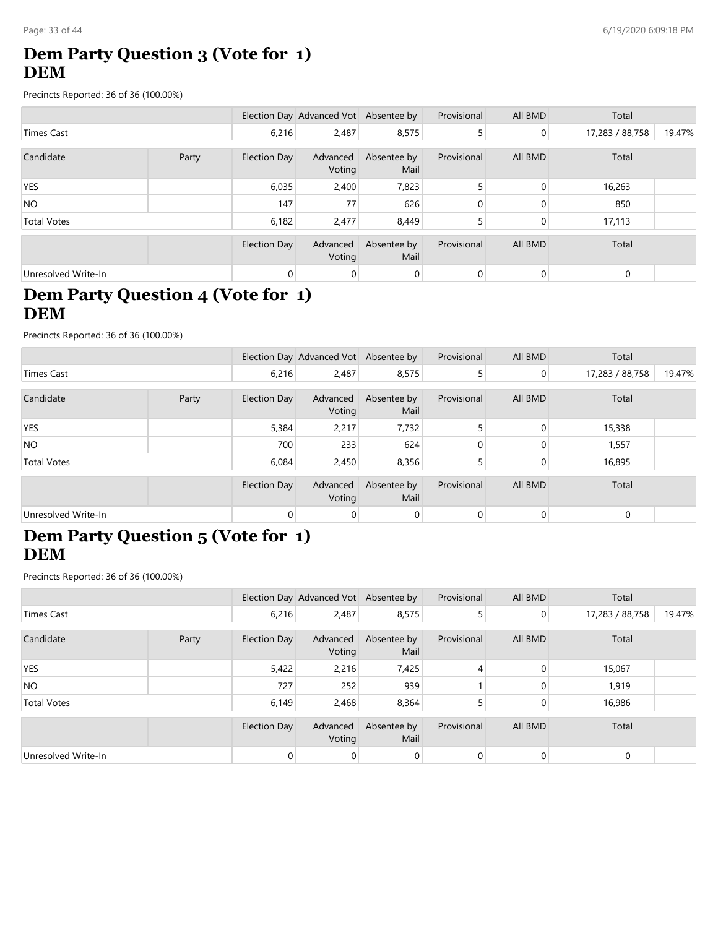# **Dem Party Question 3 (Vote for 1) DEM**

Precincts Reported: 36 of 36 (100.00%)

|                     |       |                     | Election Day Advanced Vot Absentee by |                     | Provisional | All BMD | Total           |        |
|---------------------|-------|---------------------|---------------------------------------|---------------------|-------------|---------|-----------------|--------|
| <b>Times Cast</b>   |       | 6,216               | 2,487                                 | 8,575               | 5           | 0       | 17,283 / 88,758 | 19.47% |
|                     |       |                     |                                       |                     |             |         |                 |        |
| Candidate           | Party | Election Day        | Advanced<br>Voting                    | Absentee by<br>Mail | Provisional | All BMD | Total           |        |
| <b>YES</b>          |       | 6,035               | 2,400                                 | 7,823               |             | 0       | 16,263          |        |
| <b>NO</b>           |       | 147                 | 77                                    | 626                 | 0           | 0       | 850             |        |
| <b>Total Votes</b>  |       | 6,182               | 2,477                                 | 8,449               |             | 0       | 17,113          |        |
|                     |       | <b>Election Day</b> | Advanced<br>Voting                    | Absentee by<br>Mail | Provisional | All BMD | Total           |        |
| Unresolved Write-In |       | $\overline{0}$      | 0                                     | 0                   | 0           | 0       | $\mathbf 0$     |        |

# **Dem Party Question 4 (Vote for 1) DEM**

Precincts Reported: 36 of 36 (100.00%)

|                     |       |                     | Election Day Advanced Vot Absentee by |                     | Provisional | All BMD        | Total           |        |
|---------------------|-------|---------------------|---------------------------------------|---------------------|-------------|----------------|-----------------|--------|
| Times Cast          |       | 6,216               | 2,487                                 | 8,575               |             | $\overline{0}$ | 17,283 / 88,758 | 19.47% |
| Candidate           | Party | <b>Election Day</b> | Advanced<br>Voting                    | Absentee by<br>Mail | Provisional | All BMD        | Total           |        |
| <b>YES</b>          |       | 5,384               | 2,217                                 | 7,732               |             | $\mathbf{0}$   | 15,338          |        |
| <b>NO</b>           |       | 700                 | 233                                   | 624                 |             |                | 1,557           |        |
| <b>Total Votes</b>  |       | 6,084               | 2,450                                 | 8,356               |             |                | 16,895          |        |
|                     |       | <b>Election Day</b> | Advanced<br>Voting                    | Absentee by<br>Mail | Provisional | All BMD        | Total           |        |
| Unresolved Write-In |       | $\Omega$            | 0                                     | $\Omega$            | $\Omega$    | $\Omega$       | $\Omega$        |        |

#### **Dem Party Question 5 (Vote for 1) DEM**

|                     |       |                     | Election Day Advanced Vot Absentee by |                     | Provisional | All BMD        | Total           |        |
|---------------------|-------|---------------------|---------------------------------------|---------------------|-------------|----------------|-----------------|--------|
| Times Cast          |       | 6,216               | 2,487                                 | 8,575               |             | $\overline{0}$ | 17,283 / 88,758 | 19.47% |
| Candidate           | Party | <b>Election Day</b> | Advanced<br>Voting                    | Absentee by<br>Mail | Provisional | All BMD        | Total           |        |
| <b>YES</b>          |       | 5,422               | 2,216                                 | 7,425               | 4           | $\Omega$       | 15,067          |        |
| <b>NO</b>           |       | 727                 | 252                                   | 939                 |             |                | 1,919           |        |
| <b>Total Votes</b>  |       | 6,149               | 2,468                                 | 8,364               |             | 0              | 16,986          |        |
|                     |       | Election Day        | Advanced<br>Voting                    | Absentee by<br>Mail | Provisional | All BMD        | Total           |        |
| Unresolved Write-In |       | $\Omega$            | 0                                     | $\overline{0}$      | $\Omega$    | 0              | $\mathbf 0$     |        |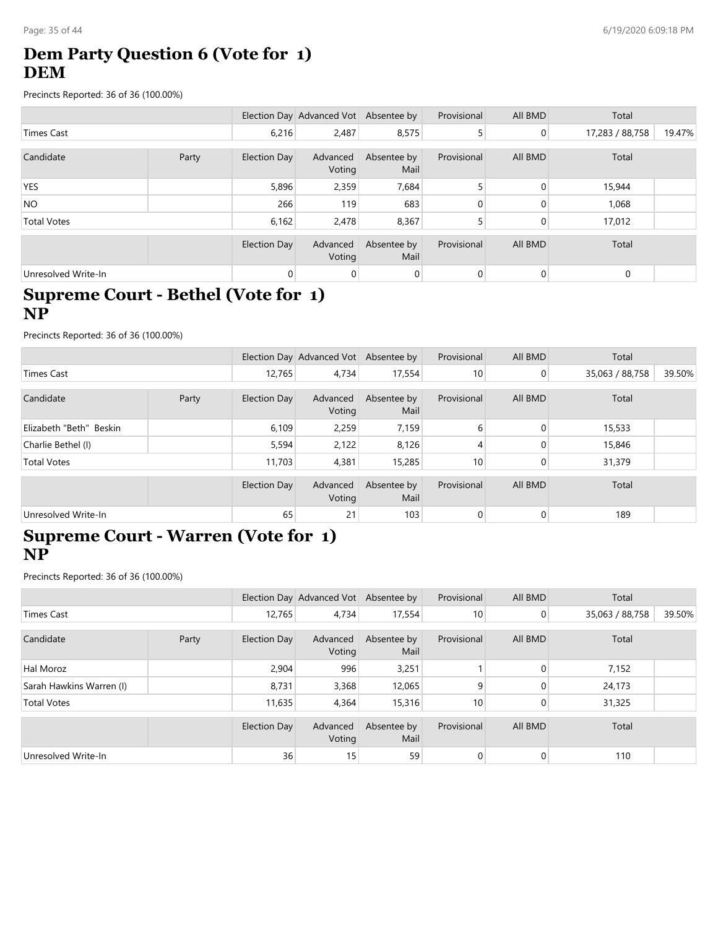# **Dem Party Question 6 (Vote for 1) DEM**

Precincts Reported: 36 of 36 (100.00%)

|                     |       |                     | Election Day Advanced Vot Absentee by |                     | Provisional | All BMD        | Total           |        |
|---------------------|-------|---------------------|---------------------------------------|---------------------|-------------|----------------|-----------------|--------|
| <b>Times Cast</b>   |       | 6,216               | 2,487                                 | 8,575               | 5           | $\overline{0}$ | 17,283 / 88,758 | 19.47% |
|                     |       |                     |                                       |                     |             |                |                 |        |
| Candidate           | Party | <b>Election Day</b> | Advanced<br>Voting                    | Absentee by<br>Mail | Provisional | All BMD        | Total           |        |
| <b>YES</b>          |       | 5,896               | 2,359                                 | 7,684               |             | $\Omega$       | 15,944          |        |
| <b>NO</b>           |       | 266                 | 119                                   | 683                 |             | $\Omega$       | 1,068           |        |
| <b>Total Votes</b>  |       | 6,162               | 2,478                                 | 8,367               |             | 0              | 17,012          |        |
|                     |       |                     |                                       |                     |             |                |                 |        |
|                     |       | <b>Election Day</b> | Advanced<br>Voting                    | Absentee by<br>Mail | Provisional | All BMD        | Total           |        |
| Unresolved Write-In |       | 0                   | 0                                     | 0                   | 0           | 0              | $\mathbf 0$     |        |

#### **Supreme Court - Bethel (Vote for 1) NP**

Precincts Reported: 36 of 36 (100.00%)

|                         |       |                     | Election Day Advanced Vot Absentee by |                     | Provisional | All BMD        | Total           |        |
|-------------------------|-------|---------------------|---------------------------------------|---------------------|-------------|----------------|-----------------|--------|
| Times Cast              |       | 12.765              | 4.734                                 | 17,554              | 10          | $\overline{0}$ | 35,063 / 88,758 | 39.50% |
| Candidate               | Party | <b>Election Day</b> | Advanced<br>Voting                    | Absentee by<br>Mail | Provisional | All BMD        | Total           |        |
| Elizabeth "Beth" Beskin |       | 6,109               | 2,259                                 | 7,159               | 6           | $\Omega$       | 15,533          |        |
| Charlie Bethel (I)      |       | 5,594               | 2,122                                 | 8,126               |             |                | 15,846          |        |
| <b>Total Votes</b>      |       | 11,703              | 4,381                                 | 15,285              | 10          | $\Omega$       | 31,379          |        |
|                         |       | <b>Election Day</b> | Advanced<br>Voting                    | Absentee by<br>Mail | Provisional | All BMD        | Total           |        |
| Unresolved Write-In     |       | 65                  | 21                                    | 103                 | $\Omega$    | $\Omega$       | 189             |        |

#### **Supreme Court - Warren (Vote for 1) NP**

|                          |       |                     | Election Day Advanced Vot Absentee by |                     | Provisional | All BMD        | Total           |        |
|--------------------------|-------|---------------------|---------------------------------------|---------------------|-------------|----------------|-----------------|--------|
| <b>Times Cast</b>        |       | 12,765              | 4,734                                 | 17,554              | 10          | $\overline{0}$ | 35,063 / 88,758 | 39.50% |
| Candidate                | Party | Election Day        | Advanced<br>Voting                    | Absentee by<br>Mail | Provisional | All BMD        | Total           |        |
| Hal Moroz                |       | 2,904               | 996                                   | 3,251               |             | $\Omega$       | 7,152           |        |
| Sarah Hawkins Warren (I) |       | 8,731               | 3,368                                 | 12,065              | 9           |                | 24,173          |        |
| <b>Total Votes</b>       |       | 11,635              | 4,364                                 | 15,316              | 10          |                | 31,325          |        |
|                          |       | <b>Election Day</b> | Advanced<br>Voting                    | Absentee by<br>Mail | Provisional | All BMD        | Total           |        |
| Unresolved Write-In      |       | 36                  | 15                                    | 59                  |             | $\Omega$       | 110             |        |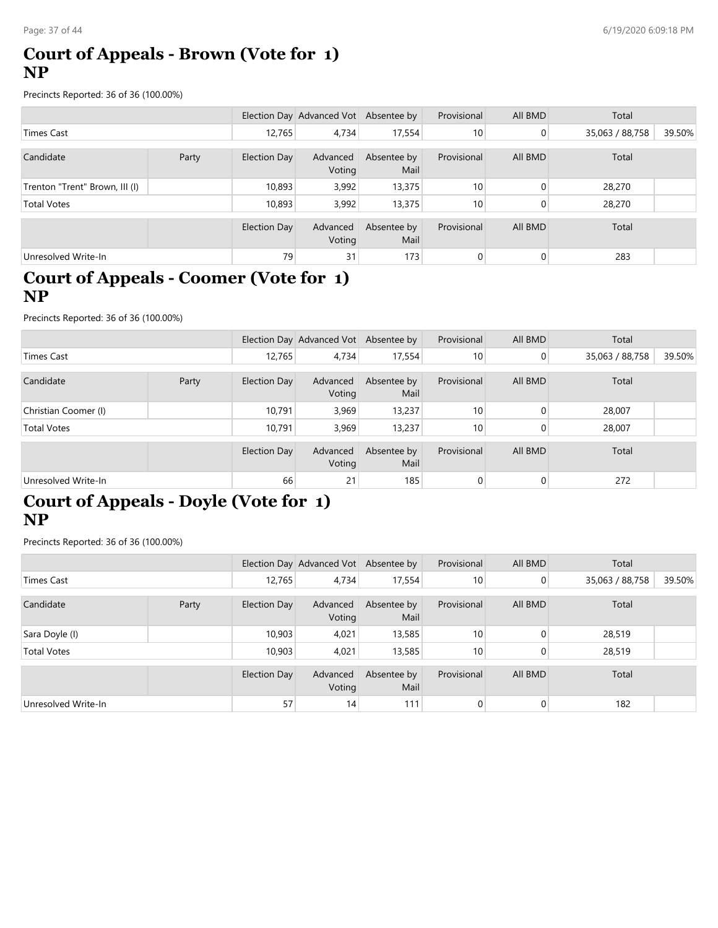#### **Court of Appeals - Brown (Vote for 1) NP**

Precincts Reported: 36 of 36 (100.00%)

|                                |       |              | Election Day Advanced Vot Absentee by |                     | Provisional | All BMD | Total           |        |
|--------------------------------|-------|--------------|---------------------------------------|---------------------|-------------|---------|-----------------|--------|
| Times Cast                     |       | 12,765       | 4.734                                 | 17,554              | 10          | 0       | 35,063 / 88,758 | 39.50% |
| Candidate                      | Party | Election Day | Advanced<br>Voting                    | Absentee by<br>Mail | Provisional | All BMD | Total           |        |
| Trenton "Trent" Brown, III (I) |       | 10,893       | 3,992                                 | 13,375              | 10          | 0       | 28,270          |        |
| <b>Total Votes</b>             |       | 10,893       | 3,992                                 | 13,375              | 10          | 0       | 28,270          |        |
|                                |       | Election Day | Advanced<br>Voting                    | Absentee by<br>Mail | Provisional | All BMD | Total           |        |
| Unresolved Write-In            |       | 79           | 31                                    | 173                 | 0           | 0       | 283             |        |

### **Court of Appeals - Coomer (Vote for 1) NP**

Precincts Reported: 36 of 36 (100.00%)

|                      |       |              | Election Day Advanced Vot Absentee by |                     | Provisional | All BMD        | Total           |        |
|----------------------|-------|--------------|---------------------------------------|---------------------|-------------|----------------|-----------------|--------|
| Times Cast           |       | 12,765       | 4,734                                 | 17,554              | 10          | $\overline{0}$ | 35,063 / 88,758 | 39.50% |
| Candidate            | Party | Election Day | Advanced<br>Voting                    | Absentee by<br>Mail | Provisional | All BMD        | Total           |        |
| Christian Coomer (I) |       | 10.791       | 3,969                                 | 13,237              | 10          |                | 28,007          |        |
| <b>Total Votes</b>   |       | 10,791       | 3,969                                 | 13,237              | 10          |                | 28,007          |        |
|                      |       | Election Day | Advanced<br>Voting                    | Absentee by<br>Mail | Provisional | All BMD        | Total           |        |
| Unresolved Write-In  |       | 66           | 21                                    | 185                 |             | $\overline{0}$ | 272             |        |

# **Court of Appeals - Doyle (Vote for 1) NP**

|                     |       |                     | Election Day Advanced Vot Absentee by |                     | Provisional     | All BMD        | Total           |        |
|---------------------|-------|---------------------|---------------------------------------|---------------------|-----------------|----------------|-----------------|--------|
| Times Cast          |       | 12.765              | 4,734                                 | 17,554              | 10              | $\overline{0}$ | 35,063 / 88,758 | 39.50% |
|                     |       |                     |                                       |                     |                 |                |                 |        |
| Candidate           | Party | <b>Election Day</b> | Advanced<br>Voting                    | Absentee by<br>Mail | Provisional     | All BMD        | Total           |        |
| Sara Doyle (I)      |       | 10,903              | 4,021                                 | 13,585              | 10              | 0              | 28,519          |        |
| <b>Total Votes</b>  |       | 10,903              | 4,021                                 | 13,585              | 10 <sub>1</sub> | 0              | 28,519          |        |
|                     |       |                     |                                       |                     |                 |                |                 |        |
|                     |       | Election Day        | Advanced<br>Voting                    | Absentee by<br>Mail | Provisional     | All BMD        | Total           |        |
| Unresolved Write-In |       | 57                  | 14                                    | 111                 | 0               | 0              | 182             |        |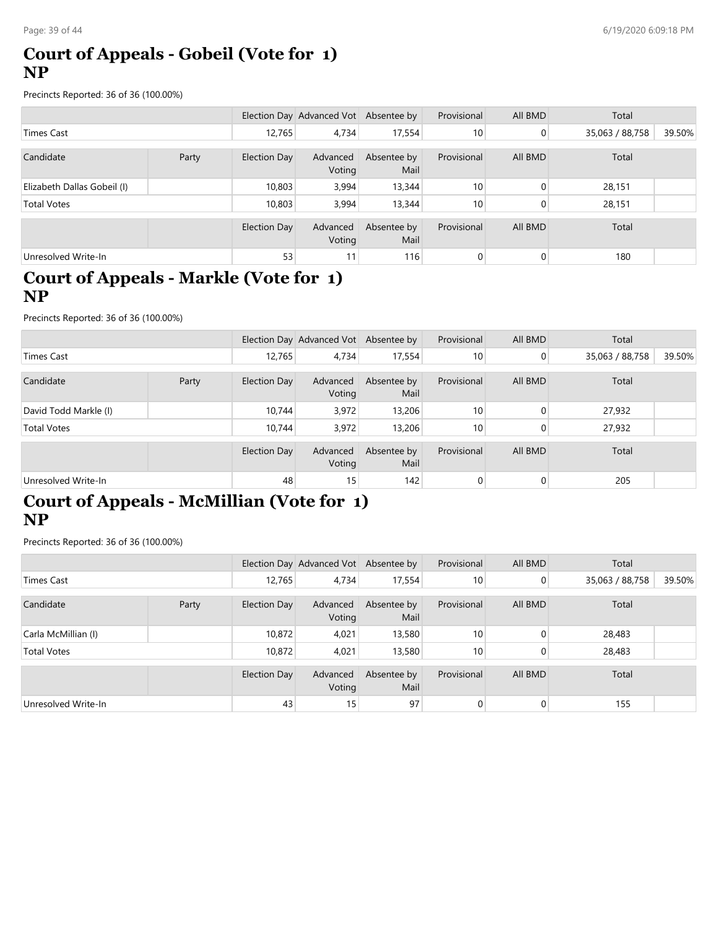### **Court of Appeals - Gobeil (Vote for 1) NP**

Precincts Reported: 36 of 36 (100.00%)

|                             |       |              | Election Day Advanced Vot Absentee by |                     | Provisional | All BMD | Total           |        |
|-----------------------------|-------|--------------|---------------------------------------|---------------------|-------------|---------|-----------------|--------|
| Times Cast                  |       | 12,765       | 4.734                                 | 17,554              | 10          | 0       | 35,063 / 88,758 | 39.50% |
| Candidate                   | Party | Election Day | Advanced<br>Voting                    | Absentee by<br>Mail | Provisional | All BMD | Total           |        |
| Elizabeth Dallas Gobeil (I) |       | 10,803       | 3,994                                 | 13,344              | 10          | 0       | 28,151          |        |
| <b>Total Votes</b>          |       | 10,803       | 3,994                                 | 13,344              | 10          | 0       | 28,151          |        |
|                             |       | Election Day | Advanced<br>Voting                    | Absentee by<br>Mail | Provisional | All BMD | Total           |        |
| Unresolved Write-In         |       | 53           | 11                                    | 116                 | 0           | 0       | 180             |        |

#### **Court of Appeals - Markle (Vote for 1) NP**

Precincts Reported: 36 of 36 (100.00%)

|                       |       |                     | Election Day Advanced Vot Absentee by |                     | Provisional | All BMD        | Total           |        |
|-----------------------|-------|---------------------|---------------------------------------|---------------------|-------------|----------------|-----------------|--------|
| Times Cast            |       | 12,765              | 4,734                                 | 17,554              | 10          | $\overline{0}$ | 35,063 / 88,758 | 39.50% |
| Candidate             | Party | <b>Election Day</b> | Advanced<br>Voting                    | Absentee by<br>Mail | Provisional | All BMD        | Total           |        |
| David Todd Markle (I) |       | 10.744              | 3,972                                 | 13,206              | 10          | 0              | 27,932          |        |
| <b>Total Votes</b>    |       | 10,744              | 3,972                                 | 13,206              | 10          |                | 27,932          |        |
|                       |       | Election Day        | Advanced<br>Voting                    | Absentee by<br>Mail | Provisional | All BMD        | Total           |        |
| Unresolved Write-In   |       | 48                  | 15                                    | 142                 |             | $\Omega$       | 205             |        |

# **Court of Appeals - McMillian (Vote for 1) NP**

|                     |       |                     | Election Day Advanced Vot Absentee by |                     | Provisional     | All BMD        | Total           |        |
|---------------------|-------|---------------------|---------------------------------------|---------------------|-----------------|----------------|-----------------|--------|
| Times Cast          |       | 12.765              | 4,734                                 | 17,554              | 10              | $\overline{0}$ | 35,063 / 88,758 | 39.50% |
|                     |       |                     |                                       |                     |                 |                |                 |        |
| Candidate           | Party | <b>Election Day</b> | Advanced<br>Voting                    | Absentee by<br>Mail | Provisional     | All BMD        | Total           |        |
| Carla McMillian (I) |       | 10,872              | 4,021                                 | 13,580              | 10              | 0              | 28,483          |        |
| <b>Total Votes</b>  |       | 10,872              | 4,021                                 | 13,580              | 10 <sup>°</sup> | $\mathbf{0}$   | 28,483          |        |
|                     |       |                     |                                       |                     |                 |                |                 |        |
|                     |       | Election Day        | Advanced<br>Voting                    | Absentee by<br>Mail | Provisional     | All BMD        | Total           |        |
| Unresolved Write-In |       | 43                  | 15                                    | 97                  | 0               | 0              | 155             |        |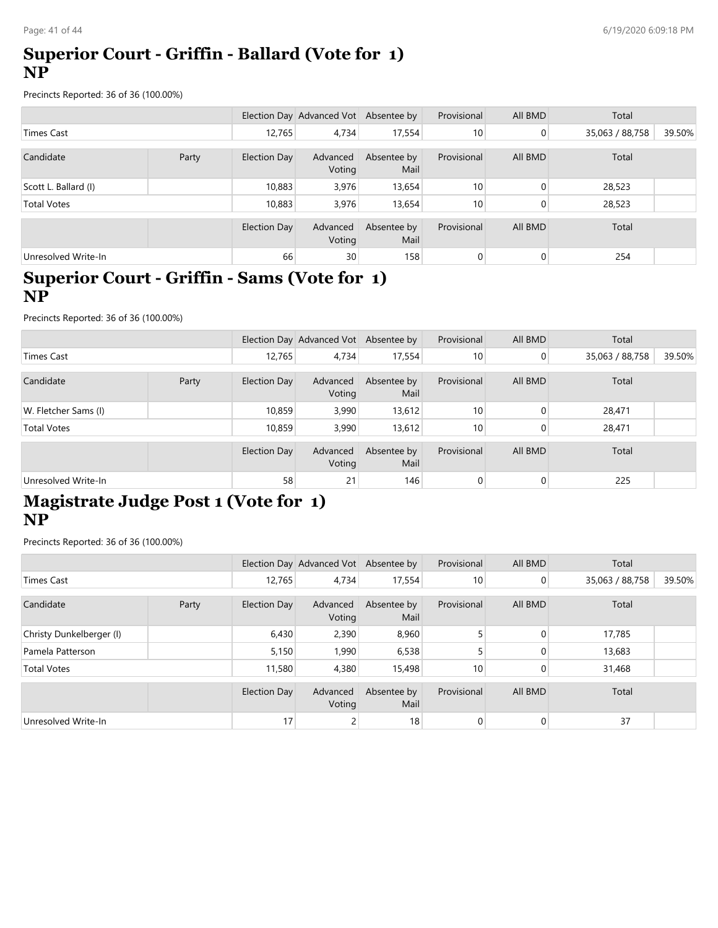#### **Superior Court - Griffin - Ballard (Vote for 1) NP**

Precincts Reported: 36 of 36 (100.00%)

|                      |       |                     | Election Day Advanced Vot Absentee by |                     | Provisional | All BMD  | Total           |        |
|----------------------|-------|---------------------|---------------------------------------|---------------------|-------------|----------|-----------------|--------|
| Times Cast           |       | 12,765              | 4,734                                 | 17,554              | 10          | 0        | 35,063 / 88,758 | 39.50% |
| Candidate            | Party | Election Day        | Advanced<br>Voting                    | Absentee by<br>Mail | Provisional | All BMD  | Total           |        |
| Scott L. Ballard (I) |       | 10,883              | 3,976                                 | 13,654              | 10          | $\Omega$ | 28,523          |        |
| <b>Total Votes</b>   |       | 10,883              | 3,976                                 | 13,654              | 10          | 0        | 28,523          |        |
|                      |       | <b>Election Day</b> | Advanced<br>Voting                    | Absentee by<br>Mail | Provisional | All BMD  | Total           |        |
| Unresolved Write-In  |       | 66                  | 30                                    | 158                 | 0           | 0        | 254             |        |

#### **Superior Court - Griffin - Sams (Vote for 1) NP**

Precincts Reported: 36 of 36 (100.00%)

|                      |       |                     | Election Day Advanced Vot Absentee by |                     | Provisional | All BMD        | Total           |        |
|----------------------|-------|---------------------|---------------------------------------|---------------------|-------------|----------------|-----------------|--------|
| <b>Times Cast</b>    |       | 12,765              | 4.734                                 | 17,554              | 10          | $\Omega$       | 35,063 / 88,758 | 39.50% |
| Candidate            | Party | <b>Election Day</b> | Advanced<br>Voting                    | Absentee by<br>Mail | Provisional | All BMD        | Total           |        |
| W. Fletcher Sams (I) |       | 10,859              | 3,990                                 | 13,612              | 10          | $\Omega$       | 28,471          |        |
| <b>Total Votes</b>   |       | 10,859              | 3,990                                 | 13,612              | 10          |                | 28,471          |        |
|                      |       | Election Day        | Advanced<br>Voting                    | Absentee by<br>Mail | Provisional | All BMD        | Total           |        |
| Unresolved Write-In  |       | 58                  | 21                                    | 146                 |             | $\overline{0}$ | 225             |        |

### **Magistrate Judge Post 1 (Vote for 1) NP**

|                          |       |                     | Election Day Advanced Vot Absentee by |                     | Provisional | All BMD        | Total           |        |
|--------------------------|-------|---------------------|---------------------------------------|---------------------|-------------|----------------|-----------------|--------|
| <b>Times Cast</b>        |       | 12,765              | 4,734                                 | 17,554              | 10          | $\overline{0}$ | 35,063 / 88,758 | 39.50% |
| Candidate                | Party | Election Day        | Advanced<br>Voting                    | Absentee by<br>Mail | Provisional | All BMD        | Total           |        |
| Christy Dunkelberger (I) |       | 6,430               | 2,390                                 | 8,960               |             | $\Omega$       | 17,785          |        |
| Pamela Patterson         |       | 5,150               | 1,990                                 | 6,538               |             | 0              | 13,683          |        |
| <b>Total Votes</b>       |       | 11,580              | 4,380                                 | 15,498              | 10          | $\Omega$       | 31,468          |        |
|                          |       | <b>Election Day</b> | Advanced<br>Voting                    | Absentee by<br>Mail | Provisional | All BMD        | Total           |        |
| Unresolved Write-In      |       | 17                  |                                       | 18 <sub>1</sub>     | $\Omega$    | $\overline{0}$ | 37              |        |